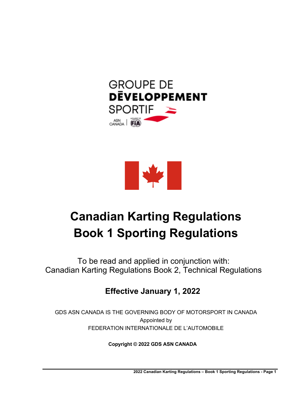



# **Canadian Karting Regulations Book 1 Sporting Regulations**

To be read and applied in conjunction with: Canadian Karting Regulations Book 2, Technical Regulations

# **Effective January 1, 2022**

GDS ASN CANADA IS THE GOVERNING BODY OF MOTORSPORT IN CANADA Appointed by FEDERATION INTERNATIONALE DE L'AUTOMOBILE

**Copyright © 2022 GDS ASN CANADA**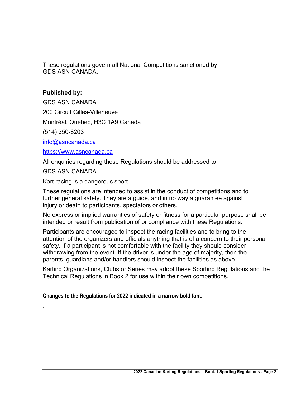These regulations govern all National Competitions sanctioned by GDS ASN CANADA.

# **Published by:**

GDS ASN CANADA

200 Circuit Gilles-Villeneuve

Montréal, Québec, H3C 1A9 Canada

(514) 350-8203

info@asncanada.ca

https://www.asncanada.ca

All enquiries regarding these Regulations should be addressed to:

GDS ASN CANADA

.

Kart racing is a dangerous sport.

These regulations are intended to assist in the conduct of competitions and to further general safety. They are a guide, and in no way a guarantee against injury or death to participants, spectators or others.

No express or implied warranties of safety or fitness for a particular purpose shall be intended or result from publication of or compliance with these Regulations.

Participants are encouraged to inspect the racing facilities and to bring to the attention of the organizers and officials anything that is of a concern to their personal safety. If a participant is not comfortable with the facility they should consider withdrawing from the event. If the driver is under the age of majority, then the parents, guardians and/or handlers should inspect the facilities as above.

Karting Organizations, Clubs or Series may adopt these Sporting Regulations and the Technical Regulations in Book 2 for use within their own competitions.

**Changes to the Regulations for 2022 indicated in a narrow bold font.**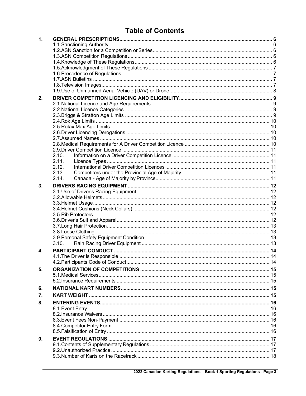# **Table of Contents**

| $\mathbf{1}$ . |       |  |
|----------------|-------|--|
|                |       |  |
|                |       |  |
|                |       |  |
|                |       |  |
|                |       |  |
|                |       |  |
|                |       |  |
|                |       |  |
|                |       |  |
| 2.             |       |  |
|                |       |  |
|                |       |  |
|                |       |  |
|                |       |  |
|                |       |  |
|                |       |  |
|                |       |  |
|                |       |  |
|                | 2.10. |  |
|                | 2.11. |  |
|                | 2.12. |  |
|                | 2.13. |  |
|                | 2.14. |  |
| 3.             |       |  |
|                |       |  |
|                |       |  |
|                |       |  |
|                |       |  |
|                |       |  |
|                |       |  |
|                |       |  |
|                |       |  |
|                |       |  |
|                | 3.10. |  |
| 4.             |       |  |
|                |       |  |
|                |       |  |
| 5.             |       |  |
|                |       |  |
|                |       |  |
| 6.             |       |  |
| 7.             |       |  |
|                |       |  |
| 8.             |       |  |
|                |       |  |
|                |       |  |
|                |       |  |
|                |       |  |
|                |       |  |
| 9.             |       |  |
|                |       |  |
|                |       |  |
|                |       |  |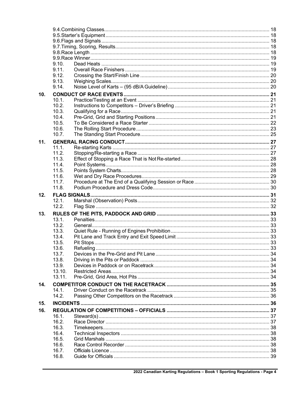|     | 9.10.<br>9.11. |  |
|-----|----------------|--|
|     | 9.12.          |  |
|     | 9.13.          |  |
|     | 9.14.          |  |
|     |                |  |
| 10. | 10.1.          |  |
|     | 10.2.          |  |
|     | 10.3.          |  |
|     | 10.4.          |  |
|     | 10.5.          |  |
|     | 10.6.          |  |
|     | 10.7.          |  |
| 11. |                |  |
|     | 11.1.          |  |
|     | 11.2.          |  |
|     | 11.3.          |  |
|     | 11.4.          |  |
|     | 11.5.          |  |
|     | 11.6.          |  |
|     | 11.7.          |  |
|     | 11.8.          |  |
|     |                |  |
|     |                |  |
| 12. | 12.1.          |  |
|     | 12.2.          |  |
|     |                |  |
| 13. | 13.1.          |  |
|     | 13.2.          |  |
|     | 13.3.          |  |
|     | 13.4.          |  |
|     | 13.5.          |  |
|     | 13.6.          |  |
|     | 13.7.          |  |
|     | 13.8.          |  |
|     | 13.9.          |  |
|     | 13.10.         |  |
|     | 13.11.         |  |
| 14. |                |  |
|     | 14.1.          |  |
|     | 14.2.          |  |
| 15. |                |  |
| 16. |                |  |
|     | 16.1.          |  |
|     | 16.2.          |  |
|     | 16.3.          |  |
|     | 16.4.          |  |
|     | 16.5.          |  |
|     | 16.6.          |  |
|     | 16.7.<br>16.8. |  |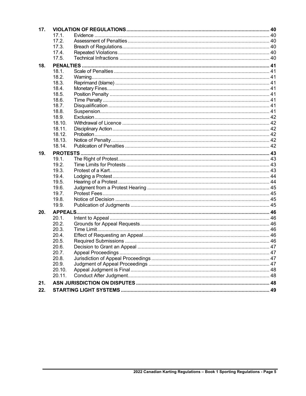| 17. |        |  |  |
|-----|--------|--|--|
|     | 17.1.  |  |  |
|     | 17.2.  |  |  |
|     | 17.3.  |  |  |
|     | 17.4.  |  |  |
|     | 17.5.  |  |  |
| 18. |        |  |  |
|     | 18.1.  |  |  |
|     | 18.2.  |  |  |
|     | 18.3.  |  |  |
|     | 18.4.  |  |  |
|     | 18.5.  |  |  |
|     | 18.6.  |  |  |
|     | 18.7.  |  |  |
|     | 18.8.  |  |  |
|     | 18.9.  |  |  |
|     | 18.10. |  |  |
|     | 18.11. |  |  |
|     | 18.12. |  |  |
|     | 18.13. |  |  |
|     | 18.14. |  |  |
| 19. |        |  |  |
|     | 19.1.  |  |  |
|     | 19.2.  |  |  |
|     | 19.3.  |  |  |
|     | 19.4.  |  |  |
|     | 19.5.  |  |  |
|     | 19.6.  |  |  |
|     | 19.7.  |  |  |
|     | 19.8.  |  |  |
|     | 19.9.  |  |  |
| 20. |        |  |  |
|     | 20.1.  |  |  |
|     | 20.2.  |  |  |
|     | 20.3.  |  |  |
|     | 20.4.  |  |  |
|     | 20.5.  |  |  |
|     | 20.6.  |  |  |
|     | 20.7.  |  |  |
|     | 20.8.  |  |  |
|     | 20.9.  |  |  |
|     | 20.10. |  |  |
|     | 20.11. |  |  |
| 21. |        |  |  |
| 22. |        |  |  |
|     |        |  |  |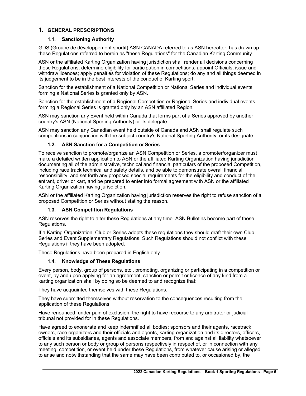# **1. GENERAL PRESCRIPTIONS**

# **1.1. Sanctioning Authority**

GDS (Groupe de développement sportif) ASN CANADA referred to as ASN hereafter, has drawn up these Regulations referred to herein as "these Regulations" for the Canadian Karting Community.

ASN or the affiliated Karting Organization having jurisdiction shall render all decisions concerning these Regulations; determine eligibility for participation in competitions; appoint Officials; issue and withdraw licences; apply penalties for violation of these Regulations; do any and all things deemed in its judgement to be in the best interests of the conduct of Karting sport.

Sanction for the establishment of a National Competition or National Series and individual events forming a National Series is granted only by ASN.

Sanction for the establishment of a Regional Competition or Regional Series and individual events forming a Regional Series is granted only by an ASN affiliated Region.

ASN may sanction any Event held within Canada that forms part of a Series approved by another country's ASN (National Sporting Authority) or its delegate.

ASN may sanction any Canadian event held outside of Canada and ASN shall regulate such competitions in conjunction with the subject country's National Sporting Authority, or its designate.

# **1.2. ASN Sanction for a Competition or Series**

To receive sanction to promote/organize an ASN Competition or Series, a promoter/organizer must make a detailed written application to ASN or the affiliated Karting Organization having jurisdiction documenting all of the administrative, technical and financial particulars of the proposed Competition, including race track technical and safety details, and be able to demonstrate overall financial responsibility, and set forth any proposed special requirements for the eligibility and conduct of the entrant, driver or kart, and be prepared to enter into formal agreement with ASN or the affiliated Karting Organization having jurisdiction.

ASN or the affiliated Karting Organization having jurisdiction reserves the right to refuse sanction of a proposed Competition or Series without stating the reason.

# **1.3. ASN Competition Regulations**

ASN reserves the right to alter these Regulations at any time. ASN Bulletins become part of these Regulations.

If a Karting Organization, Club or Series adopts these regulations they should draft their own Club, Series and Event Supplementary Regulations. Such Regulations should not conflict with these Regulations if they have been adopted.

These Regulations have been prepared in English only.

# **1.4. Knowledge of These Regulations**

Every person, body, group of persons, etc., promoting, organizing or participating in a competition or event, by and upon applying for an agreement, sanction or permit or licence of any kind from a karting organization shall by doing so be deemed to and recognize that:

They have acquainted themselves with these Regulations.

They have submitted themselves without reservation to the consequences resulting from the application of these Regulations.

Have renounced, under pain of exclusion, the right to have recourse to any arbitrator or judicial tribunal not provided for in these Regulations.

Have agreed to exonerate and keep indemnified all bodies; sponsors and their agents, racetrack owners, race organizers and their officials and agents, karting organization and its directors, officers, officials and its subsidiaries, agents and associate members, from and against all liability whatsoever to any such person or body or group of persons respectively in respect of, or in connection with any meeting, competition, or event held under these Regulations, from whatever cause arising or alleged to arise and notwithstanding that the same may have been contributed to, or occasioned by, the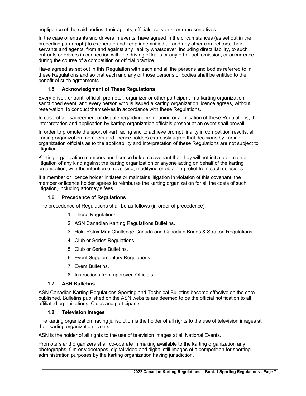negligence of the said bodies, their agents, officials, servants, or representatives.

In the case of entrants and drivers in events, have agreed in the circumstances (as set out in the preceding paragraph) to exonerate and keep indemnified all and any other competitors, their servants and agents, from and against any liability whatsoever, including direct liability, to such entrants or drivers in connection with the driving of karts or any other act, omission, or occurrence during the course of a competition or official practice.

Have agreed as set out in this Regulation with each and all the persons and bodies referred to in these Regulations and so that each and any of those persons or bodies shall be entitled to the benefit of such agreements.

# **1.5. Acknowledgment of These Regulations**

Every driver, entrant, official, promoter, organizer or other participant in a karting organization sanctioned event, and every person who is issued a karting organization licence agrees, without reservation, to conduct themselves in accordance with these Regulations.

In case of a disagreement or dispute regarding the meaning or application of these Regulations, the interpretation and application by karting organization officials present at an event shall prevail.

In order to promote the sport of kart racing and to achieve prompt finality in competition results, all karting organization members and licence holders expressly agree that decisions by karting organization officials as to the applicability and interpretation of these Regulations are not subject to litigation.

Karting organization members and licence holders covenant that they will not initiate or maintain litigation of any kind against the karting organization or anyone acting on behalf of the karting organization, with the intention of reversing, modifying or obtaining relief from such decisions.

If a member or licence holder initiates or maintains litigation in violation of this covenant, the member or licence holder agrees to reimburse the karting organization for all the costs of such litigation, including attorney's fees.

#### **1.6. Precedence of Regulations**

The precedence of Regulations shall be as follows (in order of precedence);

- 1. These Regulations.
- 2. ASN Canadian Karting Regulations Bulletins.
- 3. Rok, Rotax Max Challenge Canada and Canadian Briggs & Stratton Regulations.
- 4. Club or Series Regulations.
- 5. Club or Series Bulletins.
- 6. Event Supplementary Regulations.
- 7. Event Bulletins.
- 8. Instructions from approved Officials.

#### **1.7. ASN Bulletins**

ASN Canadian Karting Regulations Sporting and Technical Bulletins become effective on the date published. Bulletins published on the ASN website are deemed to be the official notification to all affiliated organizations, Clubs and participants.

#### **1.8. Television Images**

The karting organization having jurisdiction is the holder of all rights to the use of television images at their karting organization events.

ASN is the holder of all rights to the use of television images at all National Events.

Promoters and organizers shall co-operate in making available to the karting organization any photographs, film or videotapes, digital video and digital still images of a competition for sporting administration purposes by the karting organization having jurisdiction.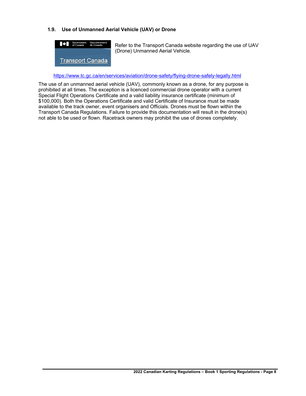# **1.9. Use of Unmanned Aerial Vehicle (UAV) or Drone**



Refer to the Transport Canada website regarding the use of UAV (Drone) Unmanned Aerial Vehicle.

https://www.tc.gc.ca/en/services/aviation/drone-safety/flying-drone-safely-legally.html

The use of an unmanned aerial vehicle (UAV), commonly known as a drone, for any purpose is prohibited at all times. The exception is a licenced commercial drone operator with a current Special Flight Operations Certificate and a valid liability insurance certificate (minimum of \$100,000). Both the Operations Certificate and valid Certificate of Insurance must be made available to the track owner, event organisers and Officials. Drones must be flown within the Transport Canada Regulations. Failure to provide this documentation will result in the drone(s) not able to be used or flown. Racetrack owners may prohibit the use of drones completely.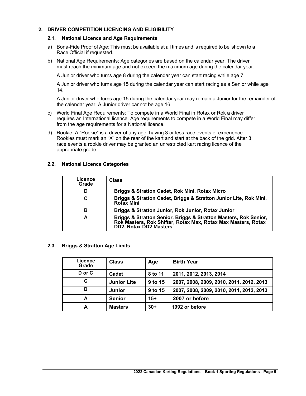# **2. DRIVER COMPETITION LICENCING AND ELIGIBILITY**

#### **2.1. National Licence and Age Requirements**

- a) Bona-Fide Proof of Age: This must be available at all times and is required to be shown to a Race Official if requested.
- b) National Age Requirements: Age categories are based on the calendar year. The driver must reach the minimum age and not exceed the maximum age during the calendar year.

A Junior driver who turns age 8 during the calendar year can start racing while age 7.

A Junior driver who turns age 15 during the calendar year can start racing as a Senior while age 14.

A Junior driver who turns age 15 during the calendar year may remain a Junior for the remainder of the calendar year. A Junior driver cannot be age 16.

- c) World Final Age Requirements: To compete in a World Final in Rotax or Rok a driver requires an International licence. Age requirements to compete in a World Final may differ from the age requirements for a National licence.
- d) Rookie: A "Rookie" is a driver of any age, having 3 or less race events of experience. Rookies must mark an "X" on the rear of the kart and start at the back of the grid. After 3 race events a rookie driver may be granted an unrestricted kart racing licence of the appropriate grade.

| Licence<br>Grade | <b>Class</b>                                                                                                                                             |
|------------------|----------------------------------------------------------------------------------------------------------------------------------------------------------|
| D                | Briggs & Stratton Cadet, Rok Mini, Rotax Micro                                                                                                           |
| С                | Briggs & Stratton Cadet, Briggs & Stratton Junior Lite, Rok Mini,<br><b>Rotax Mini</b>                                                                   |
| в                | Briggs & Stratton Junior, Rok Junior, Rotax Junior                                                                                                       |
| A                | Briggs & Stratton Senior, Briggs & Stratton Masters, Rok Senior, Rok Masters, Rok Shifter, Rotax Max, Rotax Max Masters, Rotax<br>DD2, Rotax DD2 Masters |

#### **2.2. National Licence Categories**

#### **2.3. Briggs & Stratton Age Limits**

| Licence<br>Grade | <b>Class</b>       | Age     | <b>Birth Year</b>                        |
|------------------|--------------------|---------|------------------------------------------|
| D or C           | Cadet              | 8 to 11 | 2011, 2012, 2013, 2014                   |
| C                | <b>Junior Lite</b> | 9 to 15 | 2007, 2008, 2009, 2010, 2011, 2012, 2013 |
| в                | <b>Junior</b>      | 9 to 15 | 2007, 2008, 2009, 2010, 2011, 2012, 2013 |
| A                | <b>Senior</b>      | $15+$   | 2007 or before                           |
| A                | <b>Masters</b>     | $30+$   | 1992 or before                           |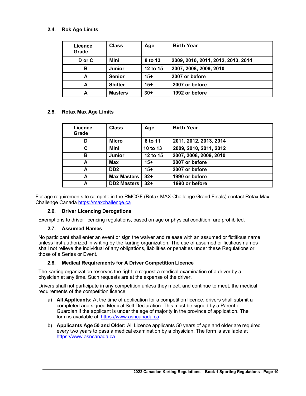# **2.4. Rok Age Limits**

| Licence<br>Grade | <b>Class</b>   | Age      | <b>Birth Year</b>                  |
|------------------|----------------|----------|------------------------------------|
| D or C           | Mini           | 8 to 13  | 2009, 2010, 2011, 2012, 2013, 2014 |
| B                | Junior         | 12 to 15 | 2007, 2008, 2009, 2010             |
| A                | <b>Senior</b>  | $15+$    | 2007 or before                     |
| A                | <b>Shifter</b> | $15+$    | 2007 or before                     |
| A                | <b>Masters</b> | $30+$    | 1992 or before                     |

# **2.5. Rotax Max Age Limits**

| Licence<br>Grade | <b>Class</b>       | Age      | <b>Birth Year</b>      |
|------------------|--------------------|----------|------------------------|
| D                | <b>Micro</b>       | 8 to 11  | 2011, 2012, 2013, 2014 |
| C                | Mini               | 10 to 13 | 2009, 2010, 2011, 2012 |
| в                | <b>Junior</b>      | 12 to 15 | 2007, 2008, 2009, 2010 |
| A                | <b>Max</b>         | $15+$    | 2007 or before         |
| A                | DD <sub>2</sub>    | $15+$    | 2007 or before         |
| A                | <b>Max Masters</b> | $32+$    | 1990 or before         |
| A                | <b>DD2 Masters</b> | $32+$    | 1990 or before         |

For age requirements to compete in the RMCGF (Rotax MAX Challenge Grand Finals) contact Rotax Max Challenge Canada https://maxchallenge.ca

# **2.6. Driver Licencing Derogations**

Exemptions to driver licencing regulations, based on age or physical condition, are prohibited.

# **2.7. Assumed Names**

No participant shall enter an event or sign the waiver and release with an assumed or fictitious name unless first authorized in writing by the karting organization. The use of assumed or fictitious names shall not relieve the individual of any obligations, liabilities or penalties under these Regulations or those of a Series or Event.

#### **2.8. Medical Requirements for A Driver Competition Licence**

The karting organization reserves the right to request a medical examination of a driver by a physician at any time. Such requests are at the expense of the driver.

Drivers shall not participate in any competition unless they meet, and continue to meet, the medical requirements of the competition licence.

- a) **All Applicants:** At the time of application for a competition licence, drivers shall submit a completed and signed Medical Self Declaration. This must be signed by a Parent or Guardian if the applicant is under the age of majority in the province of application. The form is available at https://www.asncanada.ca
- b) **Applicants Age 50 and Older:** All Licence applicants 50 years of age and older are required every two years to pass a medical examination by a physician. The form is available at https://www.asncanada.ca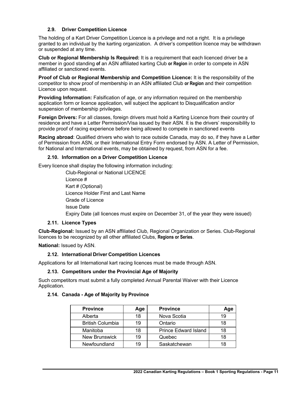# **2.9. Driver Competition Licence**

The holding of a Kart Driver Competition Licence is a privilege and not a right. It is a privilege granted to an individual by the karting organization. A driver's competition licence may be withdrawn or suspended at any time.

**Club or Regional Membership Is Required:** It is a requirement that each licenced driver be a member in good standing **of** an ASN affiliated karting Club **or Region** in order to compete in ASN affiliated or sanctioned events.

**Proof of Club or Regional Membership and Competition Licence:** It is the responsibility of the competitor to show proof of membership in an ASN affiliated Club **or Region** and their competition Licence upon request.

**Providing Information:** Falsification of age, or any information required on the membership application form or licence application, will subject the applicant to Disqualification and/or suspension of membership privileges.

**Foreign Drivers:** For all classes, foreign drivers must hold a Karting Licence from their country of residence and have a Letter Permission/Visa issued by their ASN. It is the drivers' responsibility to provide proof of racing experience before being allowed to compete in sanctioned events

**Racing abroad**: Qualified drivers who wish to race outside Canada, may do so, if they have a Letter of Permission from ASN, or their International Entry Form endorsed by ASN. A Letter of Permission, for National and International events, may be obtained by request, from ASN for a fee.

#### **2.10. Information on a Driver Competition Licence**

Every licence shall display the following information including:

Club-Regional or National LICENCE Licence # Kart # (Optional) Licence Holder First and Last Name Grade of Licence Issue Date Expiry Date (all licences must expire on December 31, of the year they were issued)

#### **2.11. Licence Types**

**Club-Regional:** Issued by an ASN affiliated Club, Regional Organization or Series. Club-Regional licences to be recognized by all other affiliated Clubs, **Regions or Series**.

**National:** Issued by ASN.

# **2.12. International Driver Competition Licences**

Applications for all International kart racing licences must be made through ASN.

#### **2.13. Competitors under the Provincial Age of Majority**

Such competitors must submit a fully completed Annual Parental Waiver with their Licence Application.

# **2.14. Canada - Age of Majority by Province**

| <b>Province</b>         | Age | <b>Province</b>             | Age |
|-------------------------|-----|-----------------------------|-----|
| Alberta                 | 18  | Nova Scotia                 | 19  |
| <b>British Columbia</b> | 19  | Ontario                     | 18  |
| Manitoba                | 18  | <b>Prince Edward Island</b> | 18  |
| <b>New Brunswick</b>    | 19  | Quebec                      | 18  |
| Newfoundland            | 19  | Saskatchewan                | 18  |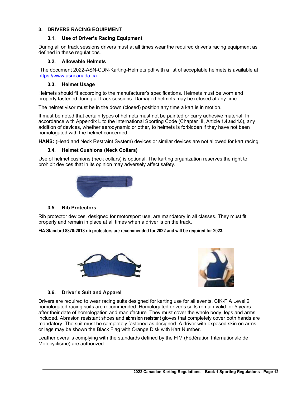# **3. DRIVERS RACING EQUIPMENT**

# **3.1. Use of Driver's Racing Equipment**

During all on track sessions drivers must at all times wear the required driver's racing equipment as defined in these regulations.

# **3.2. Allowable Helmets**

The document 2022-ASN-CDN-Karting-Helmets.pdf with a list of acceptable helmets is available at https://www.asncanada.ca

# **3.3. Helmet Usage**

Helmets should fit according to the manufacturer's specifications. Helmets must be worn and properly fastened during all track sessions. Damaged helmets may be refused at any time.

The helmet visor must be in the down (closed) position any time a kart is in motion.

It must be noted that certain types of helmets must not be painted or carry adhesive material. In accordance with Appendix L to the International Sporting Code (Chapter III, Article **1.4 and 1.6**), any addition of devices, whether aerodynamic or other, to helmets is forbidden if they have not been homologated with the helmet concerned.

**HANS:** (Head and Neck Restraint System) devices or similar devices are not allowed for kart racing.

# **3.4. Helmet Cushions (Neck Collars)**

Use of helmet cushions (neck collars) is optional. The karting organization reserves the right to prohibit devices that in its opinion may adversely affect safety.



# **3.5. Rib Protectors**

Rib protector devices, designed for motorsport use, are mandatory in all classes. They must fit properly and remain in place at all times when a driver is on the track.

**FIA Standard 8870-2018 rib protectors are recommended for 2022 and will be required for 2023.**





# **3.6. Driver's Suit and Apparel**

Drivers are required to wear racing suits designed for karting use for all events. CIK-FIA Level 2 homologated racing suits are recommended. Homologated driver's suits remain valid for 5 years after their date of homologation and manufacture. They must cover the whole body, legs and arms included. Abrasion resistant shoes and **abrasion resistant** gloves that completely cover both hands are mandatory. The suit must be completely fastened as designed. A driver with exposed skin on arms or legs may be shown the Black Flag with Orange Disk with Kart Number.

Leather overalls complying with the standards defined by the FIM (Fédération Internationale de Motocyclisme) are authorized.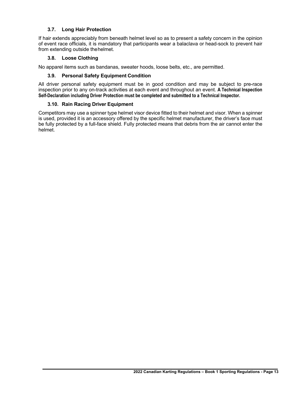# **3.7. Long Hair Protection**

If hair extends appreciably from beneath helmet level so as to present a safety concern in the opinion of event race officials, it is mandatory that participants wear a balaclava or head-sock to prevent hair from extending outside thehelmet.

#### **3.8. Loose Clothing**

No apparel items such as bandanas, sweater hoods, loose belts, etc., are permitted.

# **3.9. Personal Safety Equipment Condition**

All driver personal safety equipment must be in good condition and may be subject to pre-race inspection prior to any on-track activities at each event and throughout an event. **A Technical Inspection Self-Declaration including Driver Protection must be completed and submitted to a Technical Inspector.**

# **3.10. Rain Racing Driver Equipment**

Competitors may use a spinner type helmet visor device fitted to their helmet and visor. When a spinner is used, provided it is an accessory offered by the specific helmet manufacturer, the driver's face must be fully protected by a full-face shield. Fully protected means that debris from the air cannot enter the helmet.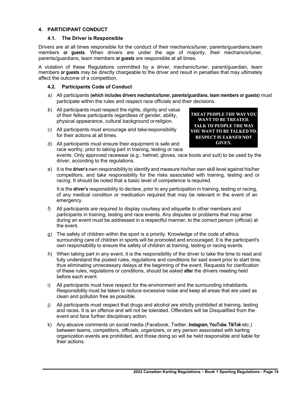# **4. PARTICIPANT CONDUCT**

#### **4.1. The Driver is Responsible**

Drivers are at all times responsible for the conduct of their mechanics/tuner, parents/guardians,team members **or guests**. When drivers are under the age of majority, their mechanics/tuner, parents/guardians, team members **or guests** are responsible at all times.

A violation of these Regulations committed by a driver, mechanic/tuner, parent/guardian, team members **or guests** may be directly chargeable to the driver and result in penalties that may ultimately affect the outcome of a competition.

#### **4.2. Participants Code of Conduct**

- a) All participants **(which includes drivers mechanics/tuner, parents/guardians, team members or guests)** must participate within the rules and respect race officials and their decisions.
- b) All participants must respect the rights, dignity and value of their fellow participants regardless of gender, ability, physical appearance, cultural background orreligion.
- c) All participants must encourage and takeresponsibility for their actions at all times.
- d) All participants must ensure their equipment is safe and race worthy, prior to taking part in training, testing or race

**TREAT PEOPLE THE WAY YOU** WANT TO BE TREATED. **TALK TO PEOPLE THE WAY** YOU WANT TO BE TALKED TO. **RESPECT IS EARNED NOT GIVEN.** 

events. Only approved racewear (e.g.: helmet, gloves, race boots and suit) to be used by the driver, according to the regulations.

e) It is the **driver's** own responsibility to identify and measure his/her own skill level against his/her competitors, and take responsibility for the risks associated with training, testing and or racing. It should be noted that a basic level of competence is required.

It is the **driver's** responsibility to declare, prior to any participation in training, testing or racing, of any medical condition or medication required that may be relevant in the event of an emergency.

- f) All participants are required to display courtesy and etiquette to other members and participants in training, testing and race events. Any disputes or problems that may arise during an event must be addressed in a respectful manner, to the correct person (official) at the event.
- g) The safety of children within the sport is a priority. Knowledge of the code of ethics surrounding care of children in sports will be promoted and encouraged. It is the participant's own responsibility to ensure the safety of children at training, testing or racing events.
- h) When taking part in any event, it is the responsibility of the driver to take the time to read and fully understand the posted rules, regulations and conditions for said event prior to start time, thus eliminating unnecessary delays at the beginning of the event. Requests for clarification of these rules, regulations or conditions, should be asked **after** the drivers meeting held before each event.
- i) All participants must have respect for the environment and the surrounding inhabitants. Responsibility must be taken to reduce excessive noise and keep all areas that are used as clean and pollution free as possible.
- j) All participants must respect that drugs and alcohol are strictly prohibited at training, testing and races. It is an offence and will not be tolerated. Offenders will be Disqualified from the event and face further disciplinary action.
- k) Any abusive comments on social media (Facebook, Twitter, **Instagram, YouTube. TikTok** etc.) between teams, competitors, officials, organizers, or any person associated with karting organization events are prohibited, and those doing so will be held responsible and liable for their actions.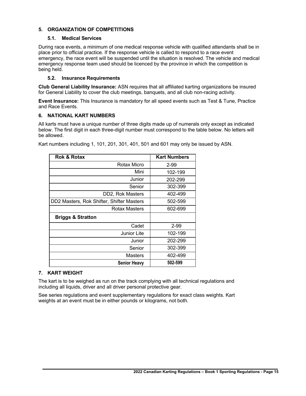# **5. ORGANIZATION OF COMPETITIONS**

# **5.1. Medical Services**

During race events, a minimum of one medical response vehicle with qualified attendants shall be in place prior to official practice. If the response vehicle is called to respond to a race event emergency, the race event will be suspended until the situation is resolved. The vehicle and medical emergency response team used should be licenced by the province in which the competition is being held.

# **5.2. Insurance Requirements**

**Club General Liability Insurance:** ASN requires that all affiliated karting organizations be insured for General Liability to cover the club meetings, banquets, and all club non-racing activity.

**Event Insurance:** This Insurance is mandatory for all speed events such as Test & Tune, Practice and Race Events.

#### **6. NATIONAL KART NUMBERS**

All karts must have a unique number of three digits made up of numerals only except as indicated below. The first digit in each three-digit number must correspond to the table below. No letters will be allowed.

| <b>Rok &amp; Rotax</b>                    | <b>Kart Numbers</b> |
|-------------------------------------------|---------------------|
| Rotax Micro                               | $2 - 99$            |
| Mini                                      | 102-199             |
| Junior                                    | 202-299             |
| Senior                                    | 302-399             |
| DD2, Rok Masters                          | 402-499             |
| DD2 Masters, Rok Shifter, Shifter Masters | 502-599             |
| Rotax Masters                             | 602-699             |
| <b>Briggs &amp; Stratton</b>              |                     |
| Cadet                                     | $2 - 99$            |
| Junior Lite                               | 102-199             |
| Junior                                    | 202-299             |
| Senior                                    | 302-399             |
| Masters                                   | 402-499             |
| <b>Senior Heavy</b>                       | 502-599             |

Kart numbers including 1, 101, 201, 301, 401, 501 and 601 may only be issued by ASN.

# **7. KART WEIGHT**

The kart is to be weighed as run on the track complying with all technical regulations and including all liquids, driver and all driver personal protective gear.

See series regulations and event supplementary regulations for exact class weights. Kart weights at an event must be in either pounds or kilograms, not both.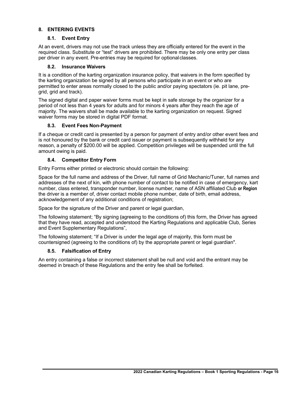# **8. ENTERING EVENTS**

#### **8.1. Event Entry**

At an event, drivers may not use the track unless they are officially entered for the event in the required class. Substitute or "test" drivers are prohibited. There may be only one entry per class per driver in any event. Pre-entries may be required for optionalclasses.

#### **8.2. Insurance Waivers**

It is a condition of the karting organization insurance policy, that waivers in the form specified by the karting organization be signed by all persons who participate in an event or who are permitted to enter areas normally closed to the public and/or paying spectators (ie. pit lane, pregrid, grid and track).

The signed digital and paper waiver forms must be kept in safe storage by the organizer for a period of not less than 4 years for adults and for minors 4 years after they reach the age of majority. The waivers shall be made available to the karting organization on request. Signed waiver forms may be stored in digital PDF format.

#### **8.3. Event Fees Non-Payment**

If a cheque or credit card is presented by a person for payment of entry and/or other event fees and is not honoured by the bank or credit card issuer or payment is subsequently withheld for any reason, a penalty of \$200.00 will be applied. Competition privileges will be suspended until the full amount owing is paid.

# **8.4. Competitor Entry Form**

Entry Forms either printed or electronic should contain the following:

Space for the full name and address of the Driver, full name of Grid Mechanic/Tuner, full names and addresses of the next of kin, with phone number of contact to be notified in case of emergency, kart number, class entered, transponder number, license number, name of ASN affiliated Club **or Region** the driver is a member of, driver contact mobile phone number, date of birth, email address, acknowledgement of any additional conditions of registration;

Space for the signature of the Driver and parent or legal guardian,

The following statement; "By signing **(**agreeing to the conditions of) this form, the Driver has agreed that they have read, accepted and understood the Karting Regulations and applicable Club, Series and Event Supplementary Regulations",

The following statement; "If a Driver is under the legal age of majority, this form must be countersigned (agreeing to the conditions of) by the appropriate parent or legal guardian".

# **8.5. Falsification of Entry**

An entry containing a false or incorrect statement shall be null and void and the entrant may be deemed in breach of these Regulations and the entry fee shall be forfeited.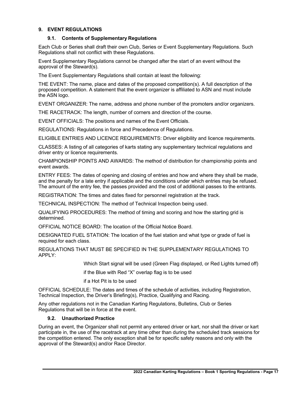# **9. EVENT REGULATIONS**

# **9.1. Contents of Supplementary Regulations**

Each Club or Series shall draft their own Club, Series or Event Supplementary Regulations. Such Regulations shall not conflict with these Regulations.

Event Supplementary Regulations cannot be changed after the start of an event without the approval of the Steward(s).

The Event Supplementary Regulations shall contain at least the following:

THE EVENT: The name, place and dates of the proposed competition(s). A full description of the proposed competition. A statement that the event organizer is affiliated to ASN and must include the ASN logo.

EVENT ORGANIZER: The name, address and phone number of the promoters and/or organizers.

THE RACETRACK: The length, number of corners and direction of the course.

EVENT OFFICIALS: The positions and names of the Event Officials.

REGULATIONS: Regulations in force and Precedence of Regulations.

ELIGIBLE ENTRIES AND LICENCE REQUIREMENTS: Driver eligibility and licence requirements.

CLASSES: A listing of all categories of karts stating any supplementary technical regulations and driver entry or licence requirements.

CHAMPIONSHIP POINTS AND AWARDS: The method of distribution for championship points and event awards.

ENTRY FEES: The dates of opening and closing of entries and how and where they shall be made, and the penalty for a late entry if applicable and the conditions under which entries may be refused. The amount of the entry fee, the passes provided and the cost of additional passes to the entrants.

REGISTRATION: The times and dates fixed for personnel registration at the track.

TECHNICAL INSPECTION: The method of Technical Inspection being used.

QUALIFYING PROCEDURES: The method of timing and scoring and how the starting grid is determined.

OFFICIAL NOTICE BOARD: The location of the Official Notice Board.

DESIGNATED FUEL STATION: The location of the fuel station and what type or grade of fuel is required for each class.

REGULATIONS THAT MUST BE SPECIFIED IN THE SUPPLEMENTARY REGULATIONS TO APPLY:

Which Start signal will be used (Green Flag displayed, or Red Lights turned off)

if the Blue with Red "X" overlap flag is to be used

if a Hot Pit is to be used

OFFICIAL SCHEDULE: The dates and times of the schedule of activities, including Registration, Technical Inspection, the Driver's Briefing(s), Practice, Qualifying and Racing.

Any other regulations not in the Canadian Karting Regulations, Bulletins, Club or Series Regulations that will be in force at the event.

#### **9.2. Unauthorized Practice**

During an event, the Organizer shall not permit any entered driver or kart, nor shall the driver or kart participate in, the use of the racetrack at any time other than during the scheduled track sessions for the competition entered. The only exception shall be for specific safety reasons and only with the approval of the Steward(s) and/or Race Director.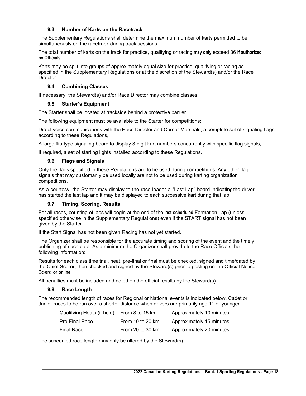# **9.3. Number of Karts on the Racetrack**

The Supplementary Regulations shall determine the maximum number of karts permitted to be simultaneously on the racetrack during track sessions.

The total number of karts on the track for practice, qualifying or racing **may only** exceed 36 **if authorized by Officials.**

Karts may be split into groups of approximately equal size for practice, qualifying or racing as specified in the Supplementary Regulations or at the discretion of the Steward(s) and/or the Race Director.

# **9.4. Combining Classes**

If necessary, the Steward(s) and/or Race Director may combine classes.

#### **9.5. Starter's Equipment**

The Starter shall be located at trackside behind a protective barrier.

The following equipment must be available to the Starter for competitions:

Direct voice communications with the Race Director and Corner Marshals, a complete set of signaling flags according to these Regulations,

A large flip-type signaling board to display 3-digit kart numbers concurrently with specific flag signals,

If required, a set of starting lights installed according to these Regulations.

#### **9.6. Flags and Signals**

Only the flags specified in these Regulations are to be used during competitions. Any other flag signals that may customarily be used locally are not to be used during karting organization competitions.

As a courtesy, the Starter may display to the race leader a "Last Lap" board indicatingthe driver has started the last lap and it may be displayed to each successive kart during that lap.

# **9.7. Timing, Scoring, Results**

For all races, counting of laps will begin at the end of the **last scheduled** Formation Lap (unless specified otherwise in the Supplementary Regulations) even if the START signal has not been given by the Starter.

If the Start Signal has not been given Racing has not yet started.

The Organizer shall be responsible for the accurate timing and scoring of the event and the timely publishing of such data. As a minimum the Organizer shall provide to the Race Officials the following information:

Results for each class time trial, heat, pre-final or final must be checked, signed and time/dated by the Chief Scorer, then checked and signed by the Steward(s) prior to posting on the Official Notice Board **or online.**

All penalties must be included and noted on the official results by the Steward(s).

#### **9.8. Race Length**

The recommended length of races for Regional or National events is indicated below. Cadet or Junior races to be run over a shorter distance when drivers are primarily age 11 or younger.

| Qualifying Heats (if held) | From 8 to 15 km    | Approximately 10 minutes |
|----------------------------|--------------------|--------------------------|
| Pre-Final Race             | From 10 to 20 $km$ | Approximately 15 minutes |
| Final Race                 | From 20 to 30 km   | Approximately 20 minutes |

The scheduled race length may only be altered by the Steward(s).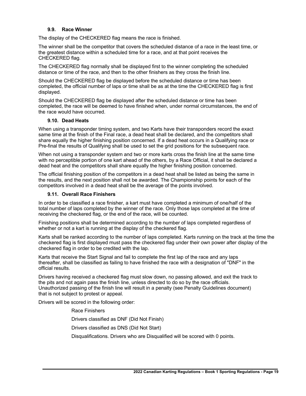#### **9.9. Race Winner**

The display of the CHECKERED flag means the race is finished.

The winner shall be the competitor that covers the scheduled distance of a race in the least time, or the greatest distance within a scheduled time for a race, and at that point receives the CHECKERED flag.

The CHECKERED flag normally shall be displayed first to the winner completing the scheduled distance or time of the race, and then to the other finishers as they cross the finish line.

Should the CHECKERED flag be displayed before the scheduled distance or time has been completed, the official number of laps or time shall be as at the time the CHECKERED flag is first displayed.

Should the CHECKERED flag be displayed after the scheduled distance or time has been completed, the race will be deemed to have finished when, under normal circumstances, the end of the race would have occurred.

#### **9.10. Dead Heats**

When using a transponder timing system, and two Karts have their transponders record the exact same time at the finish of the Final race, a dead heat shall be declared, and the competitors shall share equally the higher finishing position concerned. If a dead heat occurs in a Qualifying race or Pre-final the results of Qualifying shall be used to set the grid positions for the subsequent race.

When not using a transponder system and two or more karts cross the finish line at the same time with no perceptible portion of one kart ahead of the others, by a Race Official, it shall be declared a dead heat and the competitors shall share equally the higher finishing position concerned.

The official finishing position of the competitors in a dead heat shall be listed as being the same in the results, and the next position shall not be awarded. The Championship points for each of the competitors involved in a dead heat shall be the average of the points involved.

#### **9.11. Overall Race Finishers**

In order to be classified a race finisher, a kart must have completed a minimum of one/half of the total number of laps completed by the winner of the race. Only those laps completed at the time of receiving the checkered flag, or the end of the race, will be counted.

Finishing positions shall be determined according to the number of laps completed regardless of whether or not a kart is running at the display of the checkered flag.

Karts shall be ranked according to the number of laps completed. Karts running on the track at the time the checkered flag is first displayed must pass the checkered flag under their own power after display of the checkered flag in order to be credited with the lap.

Karts that receive the Start Signal and fail to complete the first lap of the race and any laps thereafter, shall be classified as failing to have finished the race with a designation of "DNF" in the official results.

Drivers having received a checkered flag must slow down, no passing allowed, and exit the track to the pits and not again pass the finish line, unless directed to do so by the race officials. Unauthorized passing of the finish line will result in a penalty (see Penalty Guidelines document) that is not subject to protest or appeal.

Drivers will be scored in the following order:

Race Finishers

Drivers classified as DNF (Did Not Finish)

Drivers classified as DNS (Did Not Start)

Disqualifications. Drivers who are Disqualified will be scored with 0 points.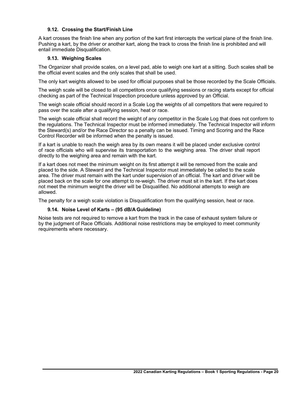# **9.12. Crossing the Start/Finish Line**

A kart crosses the finish line when any portion of the kart first intercepts the vertical plane of the finish line. Pushing a kart, by the driver or another kart, along the track to cross the finish line is prohibited and will entail immediate Disqualification.

#### **9.13. Weighing Scales**

The Organizer shall provide scales, on a level pad, able to weigh one kart at a sitting. Such scales shall be the official event scales and the only scales that shall be used.

The only kart weights allowed to be used for official purposes shall be those recorded by the Scale Officials.

The weigh scale will be closed to all competitors once qualifying sessions or racing starts except for official checking as part of the Technical Inspection procedure unless approved by an Official.

The weigh scale official should record in a Scale Log the weights of all competitors that were required to pass over the scale after a qualifying session, heat or race.

The weigh scale official shall record the weight of any competitor in the Scale Log that does not conform to the regulations. The Technical Inspector must be informed immediately. The Technical Inspector will inform the Steward(s) and/or the Race Director so a penalty can be issued. Timing and Scoring and the Race Control Recorder will be informed when the penalty is issued.

If a kart is unable to reach the weigh area by its own means it will be placed under exclusive control of race officials who will supervise its transportation to the weighing area. The driver shall report directly to the weighing area and remain with the kart.

If a kart does not meet the minimum weight on its first attempt it will be removed from the scale and placed to the side. A Steward and the Technical Inspector must immediately be called to the scale area. The driver must remain with the kart under supervision of an official. The kart and driver will be placed back on the scale for one attempt to re-weigh. The driver must sit in the kart. If the kart does not meet the minimum weight the driver will be Disqualified. No additional attempts to weigh are allowed.

The penalty for a weigh scale violation is Disqualification from the qualifying session, heat or race.

# **9.14. Noise Level of Karts – (95 dB/A Guideline)**

Noise tests are not required to remove a kart from the track in the case of exhaust system failure or by the judgment of Race Officials. Additional noise restrictions may be employed to meet community requirements where necessary.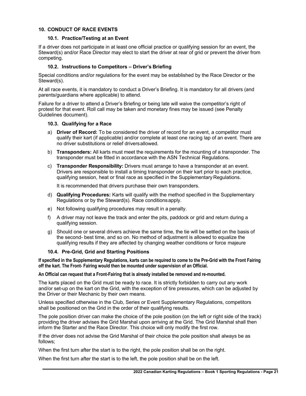#### **10. CONDUCT OF RACE EVENTS**

#### **10.1. Practice/Testing at an Event**

If a driver does not participate in at least one official practice or qualifying session for an event, the Steward(s) and/or Race Director may elect to start the driver at rear of grid or prevent the driver from competing.

#### **10.2. Instructions to Competitors – Driver's Briefing**

Special conditions and/or regulations for the event may be established by the Race Director or the Steward(s).

At all race events, it is mandatory to conduct a Driver's Briefing. It is mandatory for all drivers (and parents/guardians where applicable) to attend.

Failure for a driver to attend a Driver's Briefing or being late will waive the competitor's right of protest for that event. Roll call may be taken and monetary fines may be issued (see Penalty Guidelines document).

#### **10.3. Qualifying for a Race**

- a) **Driver of Record:** To be considered the driver of record for an event, a competitor must qualify their kart (if applicable) and/or complete at least one racing lap of an event. There are no driver substitutions or relief driversallowed.
- b) **Transponders:** All karts must meet the requirements for the mounting of a transponder. The transponder must be fitted in accordance with the ASN Technical Regulations.
- c) **Transponder Responsibility:** Drivers must arrange to have a transponder at an event. Drivers are responsible to install a timing transponder on their kart prior to each practice, qualifying session, heat or final race as specified in the Supplementary Regulations.

It is recommended that drivers purchase their own transponders.

- d) **Qualifying Procedures:** Karts will qualify with the method specified in the Supplementary Regulations or by the Steward(s). Race conditionsapply.
- e) Not following qualifying procedures may result in a penalty.
- f) A driver may not leave the track and enter the pits, paddock or grid and return during a qualifying session.
- g) Should one or several drivers achieve the same time, the tie will be settled on the basis of the second- best time, and so on. No method of adjustment is allowed to equalize the qualifying results if they are affected by changing weather conditions or force majeure

#### **10.4. Pre-Grid, Grid and Starting Positions**

**If specified in the Supplementary Regulations, karts can be required to come to the Pre-Grid with the Front Fairing off the kart. The Front- Fairing would then be mounted under supervision of an Official.**

#### **An Official can request that a Front-Fairing that is already installed be removed and re-mounted.**

The karts placed on the Grid must be ready to race. It is strictly forbidden to carry out any work and/or set-up on the kart on the Grid, with the exception of tire pressures, which can be adjusted by the Driver or their Mechanic by their own means.

Unless specified otherwise in the Club, Series or Event Supplementary Regulations, competitors shall be positioned on the Grid in the order of their qualifying results.

The pole position driver can make the choice of the pole position (on the left or right side of the track) providing the driver advises the Grid Marshal upon arriving at the Grid. The Grid Marshal shall then inform the Starter and the Race Director. This choice will only modify the first row.

If the driver does not advise the Grid Marshal of their choice the pole position shall always be as follows;

When the first turn after the start is to the right, the pole position shall be on the right.

When the first turn after the start is to the left, the pole position shall be on the left.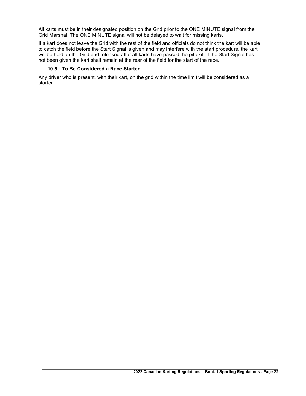All karts must be in their designated position on the Grid prior to the ONE MINUTE signal from the Grid Marshal. The ONE MINUTE signal will not be delayed to wait for missing karts.

If a kart does not leave the Grid with the rest of the field and officials do not think the kart will be able to catch the field before the Start Signal is given and may interfere with the start procedure, the kart will be held on the Grid and released after all karts have passed the pit exit. If the Start Signal has not been given the kart shall remain at the rear of the field for the start of the race.

# **10.5. To Be Considered a Race Starter**

Any driver who is present, with their kart, on the grid within the time limit will be considered as a starter.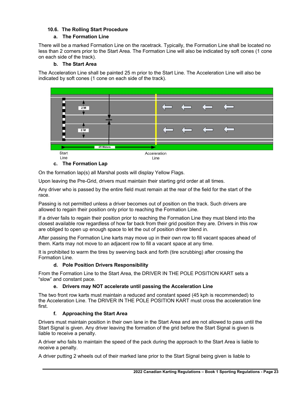# **10.6. The Rolling Start Procedure**

# **a. The Formation Line**

There will be a marked Formation Line on the racetrack. Typically, the Formation Line shall be located no less than 2 corners prior to the Start Area. The Formation Line will also be indicated by soft cones (1 cone on each side of the track).

# **b. The Start Area**

The Acceleration Line shall be painted 25 m prior to the Start Line. The Acceleration Line will also be indicated by soft cones (1 cone on each side of the track).



# **c. The Formation Lap**

On the formation lap(s) all Marshal posts will display Yellow Flags.

Upon leaving the Pre-Grid, drivers must maintain their starting grid order at all times.

Any driver who is passed by the entire field must remain at the rear of the field for the start of the race.

Passing is not permitted unless a driver becomes out of position on the track. Such drivers are allowed to regain their position only prior to reaching the Formation Line.

If a driver fails to regain their position prior to reaching the Formation Line they must blend into the closest available row regardless of how far back from their grid position they are. Drivers in this row are obliged to open up enough space to let the out of position driver blend in.

After passing the Formation Line karts may move up in their own row to fill vacant spaces ahead of them. Karts may not move to an adjacent row to fill a vacant space at any time.

It is prohibited to warm the tires by swerving back and forth (tire scrubbing) after crossing the Formation Line.

# **d. Pole Position Drivers Responsibility**

From the Formation Line to the Start Area, the DRIVER IN THE POLE POSITION KART sets a "slow" and constant pace.

# **e. Drivers may NOT accelerate until passing the Acceleration Line**

The two front row karts must maintain a reduced and constant speed (45 kph is recommended) to the Acceleration Line. The DRIVER IN THE POLE POSITION KART must cross the acceleration line first.

# **f. Approaching the Start Area**

Drivers must maintain position in their own lane in the Start Area and are not allowed to pass until the Start Signal is given. Any driver leaving the formation of the grid before the Start Signal is given is liable to receive a penalty.

A driver who fails to maintain the speed of the pack during the approach to the Start Area is liable to receive a penalty.

A driver putting 2 wheels out of their marked lane prior to the Start Signal being given is liable to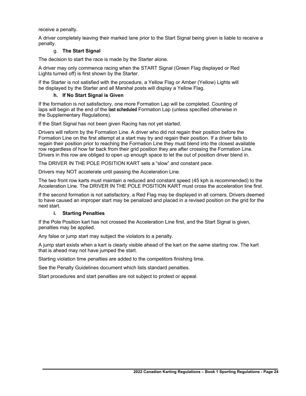receive a penalty.

A driver completely leaving their marked lane prior to the Start Signal being given is liable to receive a penalty.

#### g. **The Start Signal**

The decision to start the race is made by the Starter alone.

A driver may only commence racing when the START Signal (Green Flag displayed or Red Lights turned off) is first shown by the Starter.

If the Starter is not satisfied with the procedure, a Yellow Flag or Amber (Yellow) Lights will be displayed by the Starter and all Marshal posts will display a Yellow Flag.

#### **h. If No Start Signal is Given**

If the formation is not satisfactory, one more Formation Lap will be completed. Counting of laps will begin at the end of the **last scheduled** Formation Lap (unless specified otherwise in the Supplementary Regulations).

If the Start Signal has not been given Racing has not yet started.

Drivers will reform by the Formation Line. A driver who did not regain their position before the Formation Line on the first attempt at a start may try and regain their position. If a driver fails to regain their position prior to reaching the Formation Line they must blend into the closest available row regardless of how far back from their grid position they are after crossing the Formation Line. Drivers in this row are obliged to open up enough space to let the out of position driver blend in.

The DRIVER IN THE POLE POSITION KART sets a "slow" and constant pace.

Drivers may NOT accelerate until passing the Acceleration Line.

The two front row karts must maintain a reduced and constant speed (45 kph is recommended) to the Acceleration Line. The DRIVER IN THE POLE POSITION KART must cross the acceleration line first.

If the second formation is not satisfactory, a Red Flag may be displayed in all corners. Drivers deemed to have caused an improper start may be penalized and placed in a revised position on the grid for the next start.

# **i. Starting Penalties**

If the Pole Position kart has not crossed the Acceleration Line first, and the Start Signal is given, penalties may be applied.

Any false or jump start may subject the violators to a penalty.

A jump start exists when a kart is clearly visible ahead of the kart on the same starting row. The kart that is ahead may not have jumped the start.

Starting violation time penalties are added to the competitors finishing time.

See the Penalty Guidelines document which lists standard penalties.

Start procedures and start penalties are not subject to protest or appeal.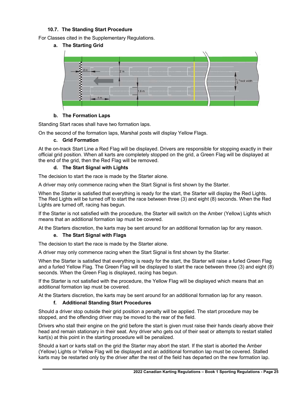# **10.7. The Standing Start Procedure**

For Classes cited in the Supplementary Regulations.



# **b. The Formation Laps**

Standing Start races shall have two formation laps.

On the second of the formation laps, Marshal posts will display Yellow Flags.

# **c. Grid Formation**

At the on-track Start Line a Red Flag will be displayed. Drivers are responsible for stopping exactly in their official grid position. When all karts are completely stopped on the grid, a Green Flag will be displayed at the end of the grid, then the Red Flag will be removed.

# **d. The Start Signal with Lights**

The decision to start the race is made by the Starter alone.

A driver may only commence racing when the Start Signal is first shown by the Starter.

When the Starter is satisfied that everything is ready for the start, the Starter will display the Red Lights. The Red Lights will be turned off to start the race between three (3) and eight (8) seconds. When the Red Lights are turned off, racing has begun.

If the Starter is not satisfied with the procedure, the Starter will switch on the Amber (Yellow) Lights which means that an additional formation lap must be covered.

At the Starters discretion, the karts may be sent around for an additional formation lap for any reason.

# **e. The Start Signal with Flags**

The decision to start the race is made by the Starter alone.

A driver may only commence racing when the Start Signal is first shown by the Starter.

When the Starter is satisfied that everything is ready for the start, the Starter will raise a furled Green Flag and a furled Yellow Flag. The Green Flag will be displayed to start the race between three (3) and eight (8) seconds. When the Green Flag is displayed, racing has begun.

If the Starter is not satisfied with the procedure, the Yellow Flag will be displayed which means that an additional formation lap must be covered.

At the Starters discretion, the karts may be sent around for an additional formation lap for any reason.

# **f. Additional Standing Start Procedures**

Should a driver stop outside their grid position a penalty will be applied. The start procedure may be stopped, and the offending driver may be moved to the rear of the field.

Drivers who stall their engine on the grid before the start is given must raise their hands clearly above their head and remain stationary in their seat. Any driver who gets out of their seat or attempts to restart stalled kart(s) at this point in the starting procedure will be penalized.

Should a kart or karts stall on the grid the Starter may abort the start. If the start is aborted the Amber (Yellow) Lights or Yellow Flag will be displayed and an additional formation lap must be covered. Stalled karts may be restarted only by the driver after the rest of the field has departed on the new formation lap.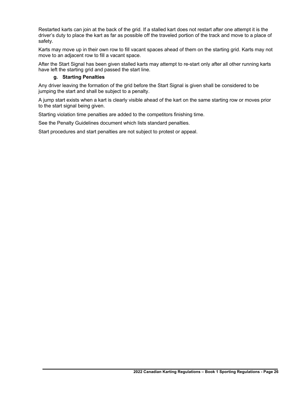Restarted karts can join at the back of the grid. If a stalled kart does not restart after one attempt it is the driver's duty to place the kart as far as possible off the traveled portion of the track and move to a place of safety.

Karts may move up in their own row to fill vacant spaces ahead of them on the starting grid. Karts may not move to an adjacent row to fill a vacant space.

After the Start Signal has been given stalled karts may attempt to re-start only after all other running karts have left the starting grid and passed the start line.

# **g. Starting Penalties**

Any driver leaving the formation of the grid before the Start Signal is given shall be considered to be jumping the start and shall be subject to a penalty.

A jump start exists when a kart is clearly visible ahead of the kart on the same starting row or moves prior to the start signal being given.

Starting violation time penalties are added to the competitors finishing time.

See the Penalty Guidelines document which lists standard penalties.

Start procedures and start penalties are not subject to protest or appeal.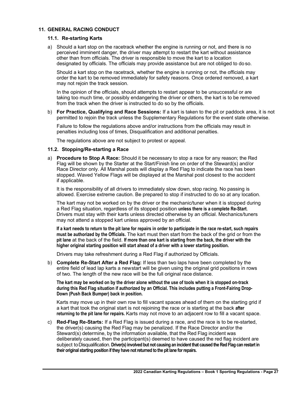# **11. GENERAL RACING CONDUCT**

#### **11.1. Re-starting Karts**

a) Should a kart stop on the racetrack whether the engine is running or not, and there is no perceived imminent danger, the driver may attempt to restart the kart without assistance other than from officials. The driver is responsible to move the kart to a location designated by officials. The officials may provide assistance but are not obliged to do so.

Should a kart stop on the racetrack, whether the engine is running or not, the officials may order the kart to be removed immediately for safety reasons. Once ordered removed, a kart may not rejoin the track session.

In the opinion of the officials, should attempts to restart appear to be unsuccessful or are taking too much time, or possibly endangering the driver or others, the kart is to be removed from the track when the driver is instructed to do so by the officials.

b) **For Practice, Qualifying and Race Sessions:** If a kart is taken to the pit or paddock area, it is not permitted to rejoin the track unless the Supplementary Regulations for the event state otherwise.

Failure to follow the regulations above and/or instructions from the officials may result in penalties including loss of times, Disqualification and additional penalties.

The regulations above are not subject to protest or appeal.

#### **11.2. Stopping/Re-starting a Race**

a) **Procedure to Stop A Race:** Should it be necessary to stop a race for any reason; the Red Flag will be shown by the Starter at the Start/Finish line on order of the Steward(s) and/or Race Director only. All Marshal posts will display a Red Flag to indicate the race has been stopped. Waved Yellow Flags will be displayed at the Marshal post closest to the accident if applicable.

It is the responsibility of all drivers to immediately slow down, stop racing. No passing is allowed. Exercise extreme caution. Be prepared to stop if instructed to do so at any location.

The kart may not be worked on by the driver or the mechanic/tuner when it is stopped during a Red Flag situation, regardless of its stopped position **unless there is a complete Re-Start**. Drivers must stay with their karts unless directed otherwise by an official. Mechanics/tuners may not attend a stopped kart unless approved by an official.

**If a kart needs to return to the pit lane for repairs in order to participate in the race re-start, such repairs must be authorized by the Officials.** The kart must then start from the back of the grid or from the **pit lane** at the back of the field. **If more than one kart is starting from the back, the driver with the higher original starting position will start ahead of a driver with a lower starting position.**

Drivers may take refreshment during a Red Flag if authorized by Officials.

b) **Complete Re-Start After a Red Flag:** If less than two laps have been completed by the entire field of lead lap karts a newstart will be given using the original grid positions in rows of two. The length of the new race will be the full original race distance.

**The kart may be worked on by the driver alone without the use of tools when it is stopped on-track during this Red Flag situation if authorized by an Official. This includes putting a Front-Fairing Drop-Down (Push Back Bumper) back in position.**

Karts may move up in their own row to fill vacant spaces ahead of them on the starting grid if a kart that took the original start is not rejoining the race or is starting at the back **after returning to the pit lane for repairs.** Karts may not move to an adjacent row to fill a vacant space.

c) **Red-Flag Re-Starts:** If a Red Flag is issued during a race, and the race is to be re-started, the driver(s) causing the Red Flag may be penalized. If the Race Director and/or the Steward(s) determine, by the information available, that the Red Flag incident was deliberately caused, then the participant(s) deemed to have caused the red flag incident are subiect to Disqualification. Driver(s) involved but not causing an incident that caused the Red Flag can restart in **their original starting position if they have not returned to the pit lane for repairs.**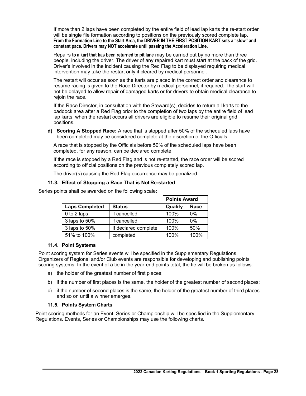If more than 2 laps have been completed by the entire field of lead lap karts the re-start order will be single file formation according to positions on the previously scored complete lap. **From the Formation Line to the Start Area, the DRIVER IN THE FIRST POSITION KART sets a "slow" and constant pace. Drivers may NOT accelerate until passing the Acceleration Line.**

Repairs **to a kart that has been returned to pit lane** may be carried out by no more than three people, including the driver. The driver of any repaired kart must start at the back of the grid. Driver's involved in the incident causing the Red Flag to be displayed requiring medical intervention may take the restart only if cleared by medical personnel.

The restart will occur as soon as the karts are placed in the correct order and clearance to resume racing is given to the Race Director by medical personnel, if required. The start will not be delayed to allow repair of damaged karts or for drivers to obtain medical clearance to rejoin the race.

If the Race Director, in consultation with the Steward(s), decides to return all karts to the paddock area after a Red Flag prior to the completion of two laps by the entire field of lead lap karts, when the restart occurs all drivers are eligible to resume their original grid positions.

**d) Scoring A Stopped Race:** A race that is stopped after 50% of the scheduled laps have been completed may be considered complete at the discretion of the Officials.

A race that is stopped by the Officials before 50% of the scheduled laps have been completed, for any reason, can be declared complete.

If the race is stopped by a Red Flag and is not re-started, the race order will be scored according to official positions on the previous completely scored lap.

The driver(s) causing the Red Flag occurrence may be penalized.

# **11.3. Effect of Stopping a Race That is Not Re-started**

|                       |                      | <b>Points Award</b> |       |
|-----------------------|----------------------|---------------------|-------|
| <b>Laps Completed</b> | <b>Status</b>        | Qualify             | Race  |
| 0 to 2 laps           | if cancelled         | 100%                | $0\%$ |
| 3 laps to 50%         | if cancelled         | 100%                | $0\%$ |
| 3 laps to 50%         | If declared complete | 100%                | 50%   |
| 51% to 100%           | completed            | 100%                | 100%  |

Series points shall be awarded on the following scale:

# **11.4. Point Systems**

Point scoring system for Series events will be specified in the Supplementary Regulations. Organizers of Regional and/or Club events are responsible for developing and publishing points scoring systems. In the event of a tie in the year-end points total, the tie will be broken as follows:

- a) the holder of the greatest number of first places;
- b) if the number of first places is the same, the holder of the greatest number of second places;
- c) if the number of second places is the same, the holder of the greatest number of third places and so on until a winner emerges.

# **11.5. Points System Charts**

Point scoring methods for an Event, Series or Championship will be specified in the Supplementary Regulations. Events, Series or Championships may use the following charts.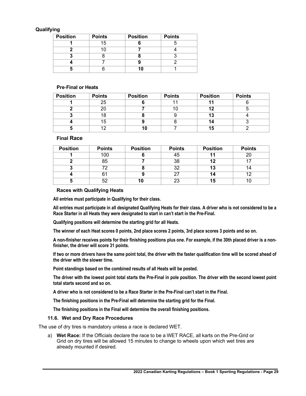#### **Qualifying**

| <b>Position</b> | <b>Points</b> | <b>Position</b> | <b>Points</b> |
|-----------------|---------------|-----------------|---------------|
|                 | 15            |                 |               |
|                 |               |                 |               |
|                 |               |                 |               |
|                 |               |                 |               |
|                 |               |                 |               |

#### **Pre**-**Final or Heats**

| <b>Position</b> | <b>Points</b> | <b>Position</b> | <b>Points</b> | <b>Position</b> | <b>Points</b> |
|-----------------|---------------|-----------------|---------------|-----------------|---------------|
|                 | 25            |                 |               |                 |               |
|                 | 20            |                 | 1 U           | 12              |               |
|                 |               |                 |               | 13              |               |
|                 | 15            |                 |               | 14              |               |
|                 | 10            |                 |               | 15              |               |

#### **Final Race**

| <b>Position</b> | <b>Points</b> | <b>Position</b> | <b>Points</b> | <b>Position</b> | <b>Points</b> |
|-----------------|---------------|-----------------|---------------|-----------------|---------------|
|                 | 100           |                 | 45            |                 | 20            |
|                 | 85            |                 | 38            | 12              |               |
|                 | 70            |                 | つ<br>ັບ∠      | 13              |               |
|                 | 61            |                 |               | 14              | 10            |
|                 | よつ            | 10              | 23            | 15              |               |

#### **Races with Qualifying Heats**

**All entries must participate in Qualifying for their class.**

**All entries must participate in all designated Qualifying Heats for their class. A driver who is not considered to be a Race Starter in all Heats they were designated to start in can't start in the Pre-Final.**

**Qualifying positions will determine the starting grid for all Heats.**

**The winner of each Heat scores 0 points, 2nd place scores 2 points, 3rd place scores 3 points and so on.**

**A non-finisher receives points for their finishing positions plus one. For example, if the 30th placed driver is a nonfinisher, the driver will score 31 points.**

**If two or more drivers have the same point total, the driver with the faster qualification time will be scored ahead of the driver with the slower time.**

**Point standings based on the combined results of all Heats will be posted.**

**The driver with the lowest point total starts the Pre-Final in pole position. The driver with the second lowest point total starts second and so on.**

**A driver who is not considered to be a Race Starter in the Pre-Final can't start in the Final.**

**The finishing positions in the Pre-Final will determine the starting grid for the Final.**

**The finishing positions in the Final will determine the overall finishing positions.**

#### **11.6. Wet and Dry Race Procedures**

The use of dry tires is mandatory unless a race is declared WET.

a) **Wet Race:** If the Officials declare the race to be a WET RACE, all karts on the Pre-Grid or Grid on dry tires will be allowed 15 minutes to change to wheels upon which wet tires are already mounted if desired.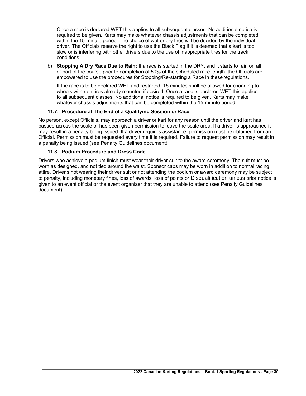Once a race is declared WET this applies to all subsequent classes. No additional notice is required to be given. Karts may make whatever chassis adjustments that can be completed within the 15-minute period. The choice of wet or dry tires will be decided by the individual driver. The Officials reserve the right to use the Black Flag if it is deemed that a kart is too slow or is interfering with other drivers due to the use of inappropriate tires for the track conditions.

b) **Stopping A Dry Race Due to Rain:** If a race is started in the DRY, and it starts to rain on all or part of the course prior to completion of 50% of the scheduled race length, the Officials are empowered to use the procedures for Stopping/Re-starting a Race in theseregulations.

If the race is to be declared WET and restarted, 15 minutes shall be allowed for changing to wheels with rain tires already mounted if desired. Once a race is declared WET this applies to all subsequent classes. No additional notice is required to be given. Karts may make whatever chassis adjustments that can be completed within the 15-minute period.

# **11.7. Procedure at The End of a Qualifying Session or Race**

No person, except Officials, may approach a driver or kart for any reason until the driver and kart has passed across the scale or has been given permission to leave the scale area. If a driver is approached it may result in a penalty being issued. If a driver requires assistance, permission must be obtained from an Official. Permission must be requested every time it is required. Failure to request permission may result in a penalty being issued (see Penalty Guidelines document).

# **11.8. Podium Procedure and Dress Code**

Drivers who achieve a podium finish must wear their driver suit to the award ceremony. The suit must be worn as designed, and not tied around the waist. Sponsor caps may be worn in addition to normal racing attire. Driver's not wearing their driver suit or not attending the podium or award ceremony may be subject to penalty, including monetary fines, loss of awards, loss of points or Disqualification unless prior notice is given to an event official or the event organizer that they are unable to attend (see Penalty Guidelines document).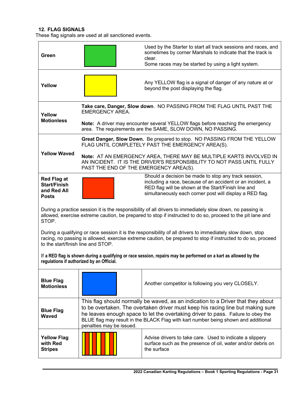# **12. FLAG SIGNALS**

These flag signals are used at all sanctioned events.

| Green                                                                                                                                                                                                                                                            |                                                                                                                                                                                                                                                                                                                                                                           | Used by the Starter to start all track sessions and races, and<br>sometimes by corner Marshals to indicate that the track is<br>clear.<br>Some races may be started by using a light system.                                          |  |  |  |
|------------------------------------------------------------------------------------------------------------------------------------------------------------------------------------------------------------------------------------------------------------------|---------------------------------------------------------------------------------------------------------------------------------------------------------------------------------------------------------------------------------------------------------------------------------------------------------------------------------------------------------------------------|---------------------------------------------------------------------------------------------------------------------------------------------------------------------------------------------------------------------------------------|--|--|--|
| Yellow                                                                                                                                                                                                                                                           | Any YELLOW flag is a signal of danger of any nature at or<br>beyond the post displaying the flag.                                                                                                                                                                                                                                                                         |                                                                                                                                                                                                                                       |  |  |  |
| Yellow<br><b>Motionless</b>                                                                                                                                                                                                                                      | Take care, Danger, Slow down. NO PASSING FROM THE FLAG UNTIL PAST THE<br><b>EMERGENCY AREA.</b><br>Note: A driver may encounter several YELLOW flags before reaching the emergency                                                                                                                                                                                        |                                                                                                                                                                                                                                       |  |  |  |
|                                                                                                                                                                                                                                                                  | area. The requirements are the SAME, SLOW DOWN, NO PASSING.                                                                                                                                                                                                                                                                                                               |                                                                                                                                                                                                                                       |  |  |  |
| <b>Yellow Waved</b>                                                                                                                                                                                                                                              | Great Danger, Slow Down. Be prepared to stop. NO PASSING FROM THE YELLOW<br>FLAG UNTIL COMPLETELY PAST THE EMERGENCY AREA(S).                                                                                                                                                                                                                                             |                                                                                                                                                                                                                                       |  |  |  |
|                                                                                                                                                                                                                                                                  | Note: AT AN EMERGENCY AREA, THERE MAY BE MULTIPLE KARTS INVOLVED IN<br>AN INCIDENT. IT IS THE DRIVER'S RESPONSIBILITY TO NOT PASS UNTIL FULLY<br>PAST THE END OF THE EMERGENCY AREA(S).                                                                                                                                                                                   |                                                                                                                                                                                                                                       |  |  |  |
| <b>Red Flag at</b><br><b>Start/Finish</b><br>and Red All<br><b>Posts</b>                                                                                                                                                                                         |                                                                                                                                                                                                                                                                                                                                                                           | Should a decision be made to stop any track session,<br>including a race, because of an accident or an incident, a<br>RED flag will be shown at the Start/Finish line and<br>simultaneously each corner post will display a RED flag. |  |  |  |
| During a practice session it is the responsibility of all drivers to immediately slow down, no passing is<br>allowed, exercise extreme caution, be prepared to stop if instructed to do so, proceed to the pit lane and<br>STOP.                                 |                                                                                                                                                                                                                                                                                                                                                                           |                                                                                                                                                                                                                                       |  |  |  |
| During a qualifying or race session it is the responsibility of all drivers to immediately slow down, stop<br>racing, no passing is allowed, exercise extreme caution, be prepared to stop if instructed to do so, proceed<br>to the start/finish line and STOP. |                                                                                                                                                                                                                                                                                                                                                                           |                                                                                                                                                                                                                                       |  |  |  |
| If a RED flag is shown during a qualifying or race session, repairs may be performed on a kart as allowed by the<br>regulations if authorized by an Official.                                                                                                    |                                                                                                                                                                                                                                                                                                                                                                           |                                                                                                                                                                                                                                       |  |  |  |
| <b>Blue Flag</b><br><b>Motionless</b>                                                                                                                                                                                                                            |                                                                                                                                                                                                                                                                                                                                                                           | Another competitor is following you very CLOSELY.                                                                                                                                                                                     |  |  |  |
| <b>Blue Flag</b><br><b>Waved</b>                                                                                                                                                                                                                                 | This flag should normally be waved, as an indication to a Driver that they about<br>to be overtaken. The overtaken driver must keep his racing line but making sure<br>he leaves enough space to let the overtaking driver to pass. Failure to obey the<br>BLUE flag may result in the BLACK Flag with kart number being shown and additional<br>penalties may be issued. |                                                                                                                                                                                                                                       |  |  |  |
| <b>Yellow Flag</b><br>with Red<br><b>Stripes</b>                                                                                                                                                                                                                 | Advise drivers to take care. Used to indicate a slippery<br>surface such as the presence of oil, water and/or debris on<br>the surface                                                                                                                                                                                                                                    |                                                                                                                                                                                                                                       |  |  |  |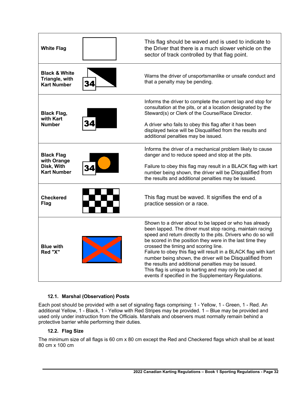| <b>White Flag</b>                                                    | This flag should be waved and is used to indicate to<br>the Driver that there is a much slower vehicle on the<br>sector of track controlled by that flag point.                                                                                                                                                                                                                                                                                                                                                                                                                                     |
|----------------------------------------------------------------------|-----------------------------------------------------------------------------------------------------------------------------------------------------------------------------------------------------------------------------------------------------------------------------------------------------------------------------------------------------------------------------------------------------------------------------------------------------------------------------------------------------------------------------------------------------------------------------------------------------|
| <b>Black &amp; White</b><br>Triangle, with<br><b>Kart Number</b>     | Warns the driver of unsportsmanlike or unsafe conduct and<br>that a penalty may be pending.                                                                                                                                                                                                                                                                                                                                                                                                                                                                                                         |
| <b>Black Flag,</b><br>with Kart<br><b>Number</b>                     | Informs the driver to complete the current lap and stop for<br>consultation at the pits, or at a location designated by the<br>Steward(s) or Clerk of the Course/Race Director.<br>A driver who fails to obey this flag after it has been<br>displayed twice will be Disqualified from the results and<br>additional penalties may be issued.                                                                                                                                                                                                                                                       |
| <b>Black Flag</b><br>with Orange<br>Disk, With<br><b>Kart Number</b> | Informs the driver of a mechanical problem likely to cause<br>danger and to reduce speed and stop at the pits.<br>Failure to obey this flag may result in a BLACK flag with kart<br>number being shown, the driver will be Disqualified from<br>the results and additional penalties may be issued.                                                                                                                                                                                                                                                                                                 |
| <b>Checkered</b><br><b>Flag</b>                                      | This flag must be waved. It signifies the end of a<br>practice session or a race.                                                                                                                                                                                                                                                                                                                                                                                                                                                                                                                   |
| <b>Blue with</b><br>Red "X"                                          | Shown to a driver about to be lapped or who has already<br>been lapped. The driver must stop racing, maintain racing<br>speed and return directly to the pits. Drivers who do so will<br>be scored in the position they were in the last time they<br>crossed the timing and scoring line.<br>Failure to obey this flag will result in a BLACK flag with kart<br>number being shown, the driver will be Disqualified from<br>the results and additional penalties may be issued.<br>This flag is unique to karting and may only be used at<br>events if specified in the Supplementary Regulations. |

# **12.1. Marshal (Observation) Posts**

Each post should be provided with a set of signaling flags comprising: 1 - Yellow, 1 - Green, 1 - Red. An additional Yellow, 1 - Black, 1 - Yellow with Red Stripes may be provided. 1 – Blue may be provided and used only under instruction from the Officials. Marshals and observers must normally remain behind a protective barrier while performing their duties.

# **12.2. Flag Size**

The minimum size of all flags is 60 cm x 80 cm except the Red and Checkered flags which shall be at least 80 cm x 100 cm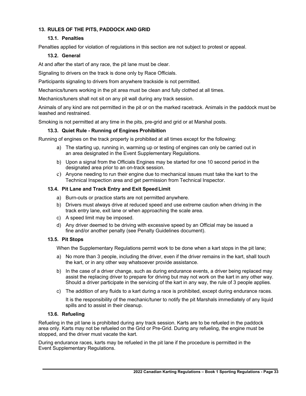# **13. RULES OF THE PITS, PADDOCK AND GRID**

# **13.1. Penalties**

Penalties applied for violation of regulations in this section are not subject to protest or appeal.

# **13.2. General**

At and after the start of any race, the pit lane must be clear.

Signaling to drivers on the track is done only by Race Officials.

Participants signaling to drivers from anywhere trackside is not permitted.

Mechanics/tuners working in the pit area must be clean and fully clothed at all times.

Mechanics/tuners shall not sit on any pit wall during any track session.

Animals of any kind are not permitted in the pit or on the marked racetrack. Animals in the paddock must be leashed and restrained.

Smoking is not permitted at any time in the pits, pre-grid and grid or at Marshal posts.

#### **13.3. Quiet Rule - Running of Engines Prohibition**

Running of engines on the track property is prohibited at all times except for the following:

- a) The starting up, running in, warming up or testing of engines can only be carried out in an area designated in the Event Supplementary Regulations.
- b) Upon a signal from the Officials Engines may be started for one 10 second period in the designated area prior to an on-track session.
- c) Anyone needing to run their engine due to mechanical issues must take the kart to the Technical Inspection area and get permission from Technical Inspector.

#### **13.4. Pit Lane and Track Entry and Exit SpeedLimit**

- a) Burn-outs or practice starts are not permitted anywhere.
- b) Drivers must always drive at reduced speed and use extreme caution when driving in the track entry lane, exit lane or when approaching the scale area.
- c) A speed limit may be imposed.
- d) Any driver deemed to be driving with excessive speed by an Official may be issued a fine and/or another penalty (see Penalty Guidelines document).

#### **13.5. Pit Stops**

When the Supplementary Regulations permit work to be done when a kart stops in the pit lane;

- a) No more than 3 people, including the driver, even if the driver remains in the kart, shall touch the kart, or in any other way whatsoever provide assistance.
- b) In the case of a driver change, such as during endurance events, a driver being replaced may assist the replacing driver to prepare for driving but may not work on the kart in any other way. Should a driver participate in the servicing of the kart in any way, the rule of 3 people applies.
- c) The addition of any fluids to a kart during a race is prohibited, except during endurance races.

It is the responsibility of the mechanic/tuner to notify the pit Marshals immediately of any liquid spills and to assist in their cleanup.

#### **13.6. Refueling**

Refueling in the pit lane is prohibited during any track session. Karts are to be refueled in the paddock area only. Karts may not be refueled on the Grid or Pre-Grid. During any refueling, the engine must be stopped, and the driver must vacate the kart.

During endurance races, karts may be refueled in the pit lane if the procedure is permitted in the Event Supplementary Regulations.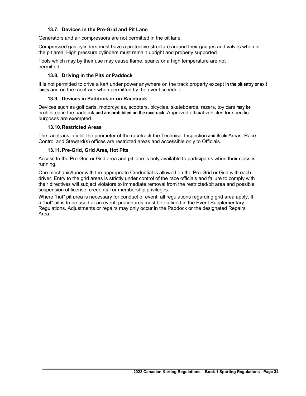# **13.7. Devices in the Pre-Grid and Pit Lane**

Generators and air compressors are not permitted in the pit lane.

Compressed gas cylinders must have a protective structure around their gauges and valves when in the pit area. High pressure cylinders must remain upright and properly supported.

Tools which may by their use may cause flame, sparks or a high temperature are not permitted.

#### **13.8. Driving in the Pits or Paddock**

It is not permitted to drive a kart under power anywhere on the track property except **in the pit entry or exit lanes** and on the racetrack when permitted by the event schedule.

#### **13.9. Devices in Paddock or on Racetrack**

Devices such as golf carts, motorcycles, scooters, bicycles, skateboards, razers, toy cars **may be** prohibited in the paddock **and are prohibited on the racetrack**. Approved official vehicles for specific purposes are exempted.

#### **13.10.Restricted Areas**

The racetrack infield, the perimeter of the racetrack the Technical Inspection **and Scale** Areas, Race Control and Steward(s) offices are restricted areas and accessible only to Officials.

#### **13.11.Pre-Grid, Grid Area, Hot Pits**

Access to the Pre-Grid or Grid area and pit lane is only available to participants when their class is running.

One mechanic/tuner with the appropriate Credential is allowed on the Pre-Grid or Grid with each driver. Entry to the grid areas is strictly under control of the race officials and failure to comply with their directives will subject violators to immediate removal from the restricted/pit area and possible suspension of license, credential or membership privileges.

Where "hot" pit area is necessary for conduct of event, all regulations regarding grid area apply. If a "hot" pit is to be used at an event, procedures must be outlined in the Event Supplementary Regulations. Adjustments or repairs may only occur in the Paddock or the designated Repairs Area.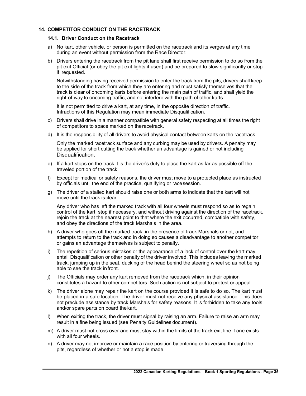# **14. COMPETITOR CONDUCT ON THE RACETRACK**

#### **14.1. Driver Conduct on the Racetrack**

- a) No kart, other vehicle, or person is permitted on the racetrack and its verges at any time during an event without permission from the Race Director.
- b) Drivers entering the racetrack from the pit lane shall first receive permission to do so from the pit exit Official (or obey the pit exit lights if used) and be prepared to slow significantly or stop if requested.

Notwithstanding having received permission to enter the track from the pits, drivers shall keep to the side of the track from which they are entering and must satisfy themselves that the track is clear of oncoming karts before entering the main path of traffic, and shall yield the right-of-way to oncoming traffic, and not interfere with the path of other karts.

It is not permitted to drive a kart, at any time, in the opposite direction of traffic. Infractions of this Regulation may mean immediate Disqualification.

- c) Drivers shall drive in a manner compatible with general safety respecting at all times the right of competitors to space marked on theracetrack.
- d) It is the responsibility of all drivers to avoid physical contact between karts on the racetrack.

Only the marked racetrack surface and any curbing may be used by drivers. A penalty may be applied for short cutting the track whether an advantage is gained or not including Disqualification.

- e) If a kart stops on the track it is the driver's duty to place the kart as far as possible off the traveled portion of the track.
- f) Except for medical or safety reasons, the driver must move to a protected place as instructed by officials until the end of the practice, qualifying or racesession.
- g) The driver of a stalled kart should raise one or both arms to indicate that the kart will not move until the track isclear.

Any driver who has left the marked track with all four wheels must respond so as to regain control of the kart, stop if necessary, and without driving against the direction of the racetrack, rejoin the track at the nearest point to that where the exit occurred, compatible with safety, and obey the directions of the track Marshals in the area.

- h) A driver who goes off the marked track, in the presence of track Marshals or not, and attempts to return to the track and in doing so causes a disadvantage to another competitor or gains an advantage themselves is subject to penalty.
- i) The repetition of serious mistakes or the appearance of a lack of control over the kart may entail Disqualification or other penalty of the driver involved. This includes leaving the marked track, jumping up in the seat, ducking of the head behind the steering wheel so as not being able to see the track infront.
- j) The Officials may order any kart removed from the racetrack which, in their opinion constitutes a hazard to other competitors. Such action is not subject to protest or appeal.
- k) The driver alone may repair the kart on the course provided it is safe to do so. The kart must be placed in a safe location. The driver must not receive any physical assistance. This does not preclude assistance by track Marshals for safety reasons. It is forbidden to take any tools and/or spare parts on board thekart.
- l) When exiting the track, the driver must signal by raising an arm. Failure to raise an arm may result in a fine being issued (see Penalty Guidelines document).
- m) A driver must not cross over and must stay within the limits of the track exit line if one exists with all four wheels.
- n) A driver may not improve or maintain a race position by entering or traversing through the pits, regardless of whether or not a stop is made.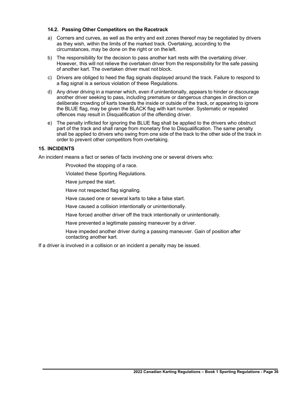#### **14.2. Passing Other Competitors on the Racetrack**

- a) Corners and curves, as well as the entry and exit zones thereof may be negotiated by drivers as they wish, within the limits of the marked track. Overtaking, according to the circumstances, may be done on the right or on theleft.
- b) The responsibility for the decision to pass another kart rests with the overtaking driver. However, this will not relieve the overtaken driver from the responsibility for the safe passing of another kart. The overtaken driver must not block.
- c) Drivers are obliged to heed the flag signals displayed around the track. Failure to respond to a flag signal is a serious violation of these Regulations.
- d) Any driver driving in a manner which, even if unintentionally, appears to hinder or discourage another driver seeking to pass, including premature or dangerous changes in direction or deliberate crowding of karts towards the inside or outside of the track, or appearing to ignore the BLUE flag, may be given the BLACK flag with kart number. Systematic or repeated offences may result in Disqualification of the offending driver.
- e) The penalty inflicted for ignoring the BLUE flag shall be applied to the drivers who obstruct part of the track and shall range from monetary fine to Disqualification. The same penalty shall be applied to drivers who swing from one side of the track to the other side of the track in order to prevent other competitors from overtaking.

#### **15. INCIDENTS**

An incident means a fact or series of facts involving one or several drivers who:

Provoked the stopping of a race.

Violated these Sporting Regulations.

Have jumped the start.

Have not respected flag signaling.

Have caused one or several karts to take a false start.

Have caused a collision intentionally or unintentionally.

Have forced another driver off the track intentionally or unintentionally.

Have prevented a legitimate passing maneuver by a driver.

Have impeded another driver during a passing maneuver. Gain of position after contacting another kart.

If a driver is involved in a collision or an incident a penalty may be issued.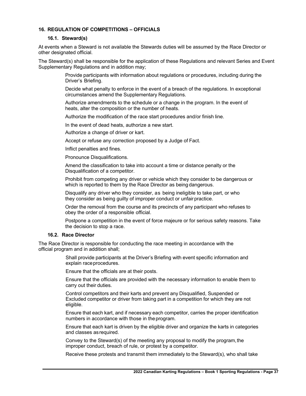# **16. REGULATION OF COMPETITIONS – OFFICIALS**

#### **16.1. Steward(s)**

At events when a Steward is not available the Stewards duties will be assumed by the Race Director or other designated official.

The Steward(s) shall be responsible for the application of these Regulations and relevant Series and Event Supplementary Regulations and in addition may;

> Provide participants with information about regulations or procedures, including during the Driver's Briefing.

> Decide what penalty to enforce in the event of a breach of the regulations. In exceptional circumstances amend the Supplementary Regulations.

Authorize amendments to the schedule or a change in the program. In the event of heats, alter the composition or the number of heats.

Authorize the modification of the race start procedures and/or finish line.

In the event of dead heats, authorize a new start.

Authorize a change of driver or kart.

Accept or refuse any correction proposed by a Judge of Fact.

Inflict penalties and fines.

Pronounce Disqualifications.

Amend the classification to take into account a time or distance penalty or the Disqualification of a competitor.

Prohibit from competing any driver or vehicle which they consider to be dangerous or which is reported to them by the Race Director as being dangerous.

Disqualify any driver who they consider, as being ineligible to take part, or who they consider as being quilty of improper conduct or unfair practice.

Order the removal from the course and its precincts of any participant who refuses to obey the order of a responsible official.

Postpone a competition in the event of force majeure or for serious safety reasons. Take the decision to stop a race.

#### **16.2. Race Director**

The Race Director is responsible for conducting the race meeting in accordance with the official program and in addition shall;

> Shall provide participants at the Driver's Briefing with event specific information and explain raceprocedures.

Ensure that the officials are at their posts.

Ensure that the officials are provided with the necessary information to enable them to carry out their duties.

Control competitors and their karts and prevent any Disqualified, Suspended or Excluded competitor or driver from taking part in a competition for which they are not eligible.

Ensure that each kart, and if necessary each competitor, carries the proper identification numbers in accordance with those in theprogram.

Ensure that each kart is driven by the eligible driver and organize the karts in categories and classes asrequired.

Convey to the Steward(s) of the meeting any proposal to modify the program, the improper conduct, breach of rule, or protest by a competitor.

Receive these protests and transmit them immediately to the Steward(s), who shall take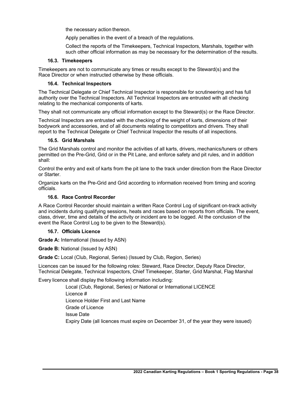the necessary action thereon.

Apply penalties in the event of a breach of the regulations.

Collect the reports of the Timekeepers, Technical Inspectors, Marshals, together with such other official information as may be necessary for the determination of the results.

#### **16.3. Timekeepers**

Timekeepers are not to communicate any times or results except to the Steward(s) and the Race Director or when instructed otherwise by these officials.

# **16.4. Technical Inspectors**

The Technical Delegate or Chief Technical Inspector is responsible for scrutineering and has full authority over the Technical Inspectors. All Technical Inspectors are entrusted with all checking relating to the mechanical components of karts.

They shall not communicate any official information except to the Steward(s) or the Race Director.

Technical Inspectors are entrusted with the checking of the weight of karts, dimensions of their bodywork and accessories, and of all documents relating to competitors and drivers. They shall report to the Technical Delegate or Chief Technical Inspector the results of all inspections.

#### **16.5. Grid Marshals**

The Grid Marshals control and monitor the activities of all karts, drivers, mechanics/tuners or others permitted on the Pre-Grid, Grid or in the Pit Lane, and enforce safety and pit rules, and in addition shall:

Control the entry and exit of karts from the pit lane to the track under direction from the Race Director or Starter.

Organize karts on the Pre-Grid and Grid according to information received from timing and scoring officials.

# **16.6. Race Control Recorder**

A Race Control Recorder should maintain a written Race Control Log of significant on-track activity and incidents during qualifying sessions, heats and races based on reports from officials. The event, class, driver, time and details of the activity or incident are to be logged. At the conclusion of the event the Race Control Log to be given to the Steward(s).

# **16.7. Officials Licence**

**Grade A:** International (Issued by ASN)

**Grade B:** National (Issued by ASN)

**Grade C:** Local (Club, Regional, Series) (Issued by Club, Region, Series)

Licences can be issued for the following roles: Steward, Race Director, Deputy Race Director, Technical Delegate, Technical Inspectors, Chief Timekeeper, Starter, Grid Marshal, Flag Marshal

Every licence shall display the following information including:

Local (Club, Regional, Series) or National or International LICENCE Licence # Licence Holder First and Last Name Grade of Licence Issue Date Expiry Date (all licences must expire on December 31, of the year they were issued)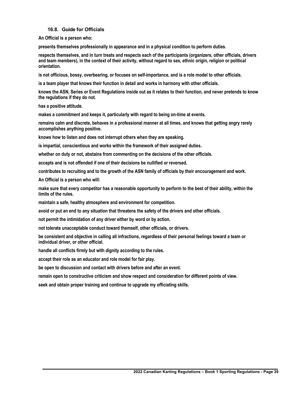#### **16.8. Guide for Officials**

**An Official is a person who:**

**presents themselves professionally in appearance and in a physical condition to perform duties.**

**respects themselves, and in turn treats and respects each of the participants (organizers, other officials, drivers and team members), in the context of their activity, without regard to sex, ethnic origin, religion or political orientation.**

**is not officious, bossy, overbearing, or focuses on self-importance, and is a role model to other officials.**

**is a team player that knows their function in detail and works in harmony with other officials.**

**knows the ASN, Series or Event Regulations inside out as it relates to their function, and never pretends to know the regulations if they do not.**

**has a positive attitude.**

**makes a commitment and keeps it, particularly with regard to being on-time at events.**

**remains calm and discrete, behaves in a professional manner at all times, and knows that getting angry rarely accomplishes anything positive.**

**knows how to listen and does not interrupt others when they are speaking.**

**is impartial, conscientious and works within the framework of their assigned duties.**

**whether on duty or not, abstains from commenting on the decisions of the other officials.**

**accepts and is not offended if one of their decisions be nullified or reversed.**

**contributes to recruiting and to the growth of the ASN family of officials by their encouragement and work.**

**An Official is a person who will:**

**make sure that every competitor has a reasonable opportunity to perform to the best of their ability, within the limits of the rules.**

**maintain a safe, healthy atmosphere and environment for competition.**

**avoid or put an end to any situation that threatens the safety of the drivers and other officials.**

**not permit the intimidation of any driver either by word or by action.**

**not tolerate unacceptable conduct toward themself, other officials, or drivers.**

**be consistent and objective in calling all infractions, regardless of their personal feelings toward a team or individual driver, or other official.**

**handle all conflicts firmly but with dignity according to the rules.**

**accept their role as an educator and role model for fair play.**

**be open to discussion and contact with drivers before and after an event.**

**remain open to constructive criticism and show respect and consideration for different points of view.**

**seek and obtain proper training and continue to upgrade my officiating skills.**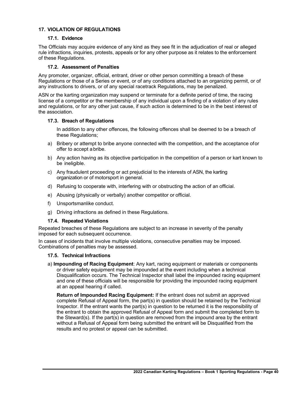# **17. VIOLATION OF REGULATIONS**

# **17.1. Evidence**

The Officials may acquire evidence of any kind as they see fit in the adjudication of real or alleged rule infractions, inquiries, protests, appeals or for any other purpose as it relates to the enforcement of these Regulations.

#### **17.2. Assessment of Penalties**

Any promoter, organizer, official, entrant, driver or other person committing a breach of these Regulations or those of a Series or event, or of any conditions attached to an organizing permit, or of any instructions to drivers, or of any special racetrack Regulations, may be penalized.

ASN or the karting organization may suspend or terminate for a definite period of time, the racing license of a competitor or the membership of any individual upon a finding of a violation of any rules and regulations, or for any other just cause, if such action is determined to be in the best interest of the association.

#### **17.3. Breach of Regulations**

In addition to any other offences, the following offences shall be deemed to be a breach of these Regulations;

- a) Bribery or attempt to bribe anyone connected with the competition, and the acceptance ofor offer to accept abribe.
- b) Any action having as its objective participation in the competition of a person or kart known to be ineligible.
- c) Any fraudulent proceeding or act prejudicial to the interests of ASN, the karting organization or of motorsport in general.
- d) Refusing to cooperate with, interfering with or obstructing the action of an official.
- e) Abusing (physically or verbally) another competitor or official.
- f) Unsportsmanlike conduct.
- g) Driving infractions as defined in these Regulations.

#### **17.4. Repeated Violations**

Repeated breaches of these Regulations are subject to an increase in severity of the penalty imposed for each subsequent occurrence.

In cases of incidents that involve multiple violations, consecutive penalties may be imposed. Combinations of penalties may be assessed.

# **17.5. Technical Infractions**

a) **Impounding of Racing Equipment**: Any kart, racing equipment or materials or components or driver safety equipment may be impounded at the event including when a technical Disqualification occurs. The Technical Inspector shall label the impounded racing equipment and one of these officials will be responsible for providing the impounded racing equipment at an appeal hearing if called.

**Return of Impounded Racing Equipment:** If the entrant does not submit an approved complete Refusal of Appeal form, the part(s) in question should be retained by the Technical Inspector. If the entrant wants the part(s) in question to be returned it is the responsibility of the entrant to obtain the approved Refusal of Appeal form and submit the completed form to the Steward(s). If the part(s) in question are removed from the impound area by the entrant without a Refusal of Appeal form being submitted the entrant will be Disqualified from the results and no protest or appeal can be submitted.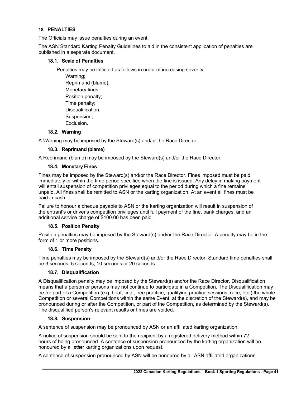# **18. PENALTIES**

The Officials may issue penalties during an event.

The ASN Standard Karting Penalty Guidelines to aid in the consistent application of penalties are published in a separate document.

# **18.1. Scale of Penalties**

Penalties may be inflicted as follows in order of increasing severity:

Warning; Reprimand (blame); Monetary fines; Position penalty; Time penalty; Disqualification; Suspension; Exclusion.

# **18.2. Warning**

A Warning may be imposed by the Steward(s) and/or the Race Director.

#### **18.3. Reprimand (blame)**

A Reprimand (blame) may be imposed by the Steward(s) and/or the Race Director.

#### **18.4. Monetary Fines**

Fines may be imposed by the Steward(s) and/or the Race Director. Fines imposed must be paid immediately or within the time period specified when the fine is issued. Any delay in making payment will entail suspension of competition privileges equal to the period during which a fine remains unpaid. All fines shall be remitted to ASN or the karting organization. At an event all fines must be paid in cash

Failure to honour a cheque payable to ASN or the karting organization will result in suspension of the entrant's or driver's competition privileges until full payment of the fine, bank charges, and an additional service charge of \$100.00 has been paid.

#### **18.5. Position Penalty**

Position penalties may be imposed by the Steward(s) and/or the Race Director. A penalty may be in the form of 1 or more positions.

#### **18.6. Time Penalty**

Time penalties may be imposed by the Steward(s) and/or the Race Director. Standard time penalties shall be 3 seconds, 5 seconds, 10 seconds or 20 seconds.

#### **18.7. Disqualification**

A Disqualification penalty may be imposed by the Steward(s) and/or the Race Director. Disqualification means that a person or persons may not continue to participate in a Competition. The Disqualification may be for part of a Competition (e.g. heat, final, free practice, qualifying practice sessions, race, etc.) the whole Competition or several Competitions within the same Event, at the discretion of the Steward(s), and may be pronounced during or after the Competition, or part of the Competition, as determined by the Steward(s). The disqualified person's relevant results or times are voided.

#### **18.8. Suspension**

A sentence of suspension may be pronounced by ASN or an affiliated karting organization.

A notice of suspension should be sent to the recipient by a registered delivery method within 72 hours of being pronounced. A sentence of suspension pronounced by the karting organization will be honoured by all **other** karting organizations upon request.

A sentence of suspension pronounced by ASN will be honoured by all ASN affiliated organizations.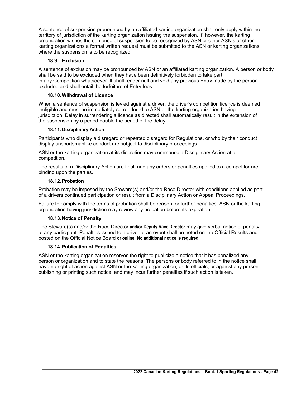A sentence of suspension pronounced by an affiliated karting organization shall only apply within the territory of jurisdiction of the karting organization issuing the suspension. If, however, the karting organization wishes the sentence of suspension to be recognized by ASN or other ASN's or other karting organizations a formal written request must be submitted to the ASN or karting organizations where the suspension is to be recognized.

# **18.9. Exclusion**

A sentence of exclusion may be pronounced by ASN or an affiliated karting organization. A person or body shall be said to be excluded when they have been definitively forbidden to take part in any Competition whatsoever. It shall render null and void any previous Entry made by the person excluded and shall entail the forfeiture of Entry fees.

# **18.10.Withdrawal of Licence**

When a sentence of suspension is levied against a driver, the driver's competition licence is deemed ineligible and must be immediately surrendered to ASN or the karting organization having jurisdiction. Delay in surrendering a licence as directed shall automatically result in the extension of the suspension by a period double the period of the delay.

# **18.11.Disciplinary Action**

Participants who display a disregard or repeated disregard for Regulations, or who by their conduct display unsportsmanlike conduct are subject to disciplinary proceedings.

ASN or the karting organization at its discretion may commence a Disciplinary Action at a competition.

The results of a Disciplinary Action are final, and any orders or penalties applied to a competitor are binding upon the parties.

# **18.12.Probation**

Probation may be imposed by the Steward(s) and/or the Race Director with conditions applied as part of a drivers continued participation or result from a Disciplinary Action or Appeal Proceedings.

Failure to comply with the terms of probation shall be reason for further penalties. ASN or the karting organization having jurisdiction may review any probation before its expiration.

# **18.13.Notice of Penalty**

The Steward(s) and/or the Race Director **and/or Deputy Race Director** may give verbal notice of penalty to any participant. Penalties issued to a driver at an event shall be noted on the Official Results and posted on the Official Notice Board **or online**. **No additional notice is required.**

# **18.14.Publication of Penalties**

ASN or the karting organization reserves the right to publicize a notice that it has penalized any person or organization and to state the reasons. The persons or body referred to in the notice shall have no right of action against ASN or the karting organization, or its officials, or against any person publishing or printing such notice, and may incur further penalties if such action is taken.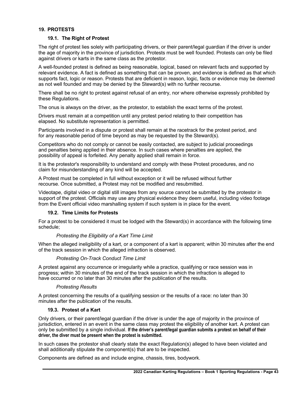# **19. PROTESTS**

#### **19.1. The Right of Protest**

The right of protest lies solely with participating drivers, or their parent/legal guardian if the driver is under the age of majority in the province of jurisdiction. Protests must be well founded. Protests can only be filed against drivers or karts in the same class as the protestor.

A well-founded protest is defined as being reasonable, logical, based on relevant facts and supported by relevant evidence. A fact is defined as something that can be proven, and evidence is defined as that which supports fact, logic or reason. Protests that are deficient in reason, logic, facts or evidence may be deemed as not well founded and may be denied by the Steward(s) with no further recourse.

There shall be no right to protest against refusal of an entry, nor where otherwise expressly prohibited by these Regulations.

The onus is always on the driver, as the protestor, to establish the exact terms of the protest.

Drivers must remain at a competition until any protest period relating to their competition has elapsed. No substitute representation is permitted.

Participants involved in a dispute or protest shall remain at the racetrack for the protest period, and for any reasonable period of time beyond as may be requested by the Steward(s).

Competitors who do not comply or cannot be easily contacted, are subject to judicial proceedings and penalties being applied in their absence. In such cases where penalties are applied, the possibility of appeal is forfeited. Any penalty applied shall remain in force.

It is the protestor's responsibility to understand and comply with these Protest procedures, and no claim for misunderstanding of any kind will be accepted.

A Protest must be completed in full without exception or it will be refused without further recourse. Once submitted, a Protest may not be modified and resubmitted.

Videotape, digital video or digital still images from any source cannot be submitted by the protestor in support of the protest. Officials may use any physical evidence they deem useful, including video footage from the Event official video marshalling system if such system is in place for the event.

#### **19.2. Time Limits for Protests**

For a protest to be considered it must be lodged with the Steward(s) in accordance with the following time schedule;

#### *Protesting the Eligibility of a Kart Time Limit*

When the alleged ineligibility of a kart, or a component of a kart is apparent; within 30 minutes after the end of the track session in which the alleged infraction is observed.

#### *Protesting On-Track Conduct Time Limit*

A protest against any occurrence or irregularity while a practice, qualifying or race session was in progress; within 30 minutes of the end of the track session in which the infraction is alleged to have occurred or no later than 30 minutes after the publication of the results.

#### *Protesting Results*

A protest concerning the results of a qualifying session or the results of a race: no later than 30 minutes after the publication of the results.

#### **19.3. Protest of a Kart**

Only drivers, or their parent/legal guardian if the driver is under the age of majority in the province of jurisdiction, entered in an event in the same class may protest the eligibility of another kart. A protest can only be submitted by a single individual. **If the driver's parent/legal guardian submits a protest on behalf of their driver, the diver must be present when the protest is submitted.**

In such cases the protestor shall clearly state the exact Regulation(s) alleged to have been violated and shall additionally stipulate the component(s) that are to be inspected.

Components are defined as and include engine, chassis, tires, bodywork.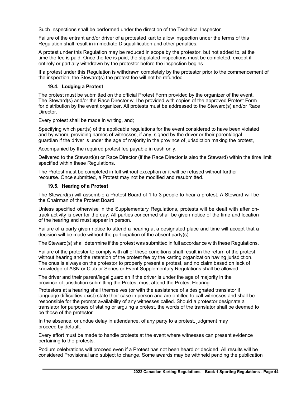Such Inspections shall be performed under the direction of the Technical Inspector.

Failure of the entrant and/or driver of a protested kart to allow inspection under the terms of this Regulation shall result in immediate Disqualification and other penalties.

A protest under this Regulation may be reduced in scope by the protestor, but not added to, at the time the fee is paid. Once the fee is paid, the stipulated inspections must be completed, except if entirely or partially withdrawn by the protestor before the inspection begins.

If a protest under this Regulation is withdrawn completely by the protestor prior to the commencement of the inspection, the Steward(s) the protest fee will not be refunded.

#### **19.4. Lodging a Protest**

The protest must be submitted on the official Protest Form provided by the organizer of the event. The Steward(s) and/or the Race Director will be provided with copies of the approved Protest Form for distribution by the event organizer. All protests must be addressed to the Steward(s) and/or Race Director.

Every protest shall be made in writing, and;

Specifying which part(s) of the applicable regulations for the event considered to have been violated and by whom, providing names of witnesses, if any, signed by the driver or their parent/legal guardian if the driver is under the age of majority in the province of jurisdiction making the protest,

Accompanied by the required protest fee payable in cash only.

Delivered to the Steward(s) or Race Director (if the Race Director is also the Steward) within the time limit specified within these Regulations.

The Protest must be completed in full without exception or it will be refused without further recourse. Once submitted, a Protest may not be modified and resubmitted.

#### **19.5. Hearing of a Protest**

The Steward(s) will assemble a Protest Board of 1 to 3 people to hear a protest. A Steward will be the Chairman of the Protest Board.

Unless specified otherwise in the Supplementary Regulations, protests will be dealt with after ontrack activity is over for the day. All parties concerned shall be given notice of the time and location of the hearing and must appear in person.

Failure of a party given notice to attend a hearing at a designated place and time will accept that a decision will be made without the participation of the absent party(s).

The Steward(s) shall determine if the protest was submitted in full accordance with these Regulations.

Failure of the protestor to comply with all of these conditions shall result in the return of the protest without hearing and the retention of the protest fee by the karting organization having jurisdiction. The onus is always on the protestor to properly present a protest, and no claim based on lack of knowledge of ASN or Club or Series or Event Supplementary Regulations shall be allowed.

The driver and their parent/legal guardian if the driver is under the age of majority in the province of jurisdiction submitting the Protest must attend the Protest Hearing.

Protestors at a hearing shall themselves (or with the assistance of a designated translator if language difficulties exist) state their case in person and are entitled to call witnesses and shall be responsible for the prompt availability of any witnesses called. Should a protestor designate a translator for purposes of stating or arguing a protest, the words of the translator shall be deemed to be those of the protestor.

In the absence, or undue delay in attendance, of any party to a protest, judgment may proceed by default.

Every effort must be made to handle protests at the event where witnesses can present evidence pertaining to the protests.

Podium celebrations will proceed even if a Protest has not been heard or decided. All results will be considered Provisional and subject to change. Some awards may be withheld pending the publication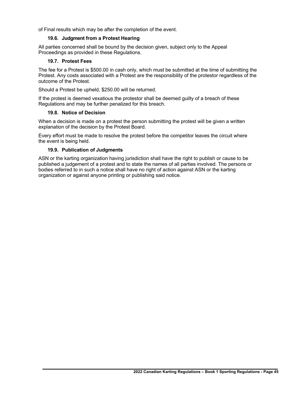of Final results which may be after the completion of the event.

# **19.6. Judgment from a Protest Hearing**

All parties concerned shall be bound by the decision given, subject only to the Appeal Proceedings as provided in these Regulations.

#### **19.7. Protest Fees**

The fee for a Protest is \$500.00 in cash only, which must be submitted at the time of submitting the Protest. Any costs associated with a Protest are the responsibility of the protestor regardless of the outcome of the Protest.

Should a Protest be upheld, \$250.00 will be returned.

If the protest is deemed vexatious the protestor shall be deemed guilty of a breach of these Regulations and may be further penalized for this breach.

#### **19.8. Notice of Decision**

When a decision is made on a protest the person submitting the protest will be given a written explanation of the decision by the Protest Board.

Every effort must be made to resolve the protest before the competitor leaves the circuit where the event is being held.

#### **19.9. Publication of Judgments**

ASN or the karting organization having jurisdiction shall have the right to publish or cause to be published a judgement of a protest and to state the names of all parties involved. The persons or bodies referred to in such a notice shall have no right of action against ASN or the karting organization or against anyone printing or publishing said notice.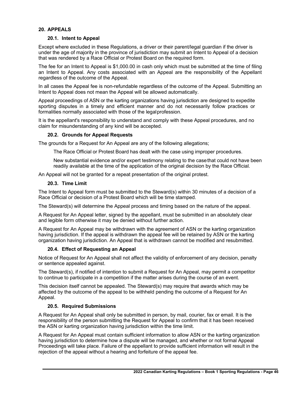# **20. APPEALS**

#### **20.1. Intent to Appeal**

Except where excluded in these Regulations, a driver or their parent/legal guardian if the driver is under the age of majority in the province of jurisdiction may submit an Intent to Appeal of a decision that was rendered by a Race Official or Protest Board on the required form.

The fee for an Intent to Appeal is \$1,000.00 in cash only which must be submitted at the time of filing an Intent to Appeal. Any costs associated with an Appeal are the responsibility of the Appellant regardless of the outcome of the Appeal.

In all cases the Appeal fee is non-refundable regardless of the outcome of the Appeal. Submitting an Intent to Appeal does not mean the Appeal will be allowed automatically.

Appeal proceedings of ASN or the karting organizations having jurisdiction are designed to expedite sporting disputes in a timely and efficient manner and do not necessarily follow practices or formalities normally associated with those of the legalprofession.

It is the appellant's responsibility to understand and comply with these Appeal procedures, and no claim for misunderstanding of any kind will be accepted.

#### **20.2. Grounds for Appeal Requests**

The grounds for a Request for An Appeal are any of the following allegations;

The Race Official or Protest Board has dealt with the case using improper procedures.

New substantial evidence and/or expert testimony relating to the casethat could not have been readily available at the time of the application of the original decision by the Race Official.

An Appeal will not be granted for a repeat presentation of the original protest.

#### **20.3. Time Limit**

The Intent to Appeal form must be submitted to the Steward(s) within 30 minutes of a decision of a Race Official or decision of a Protest Board which will be time stamped.

The Steward(s) will determine the Appeal process and timing based on the nature of the appeal.

A Request for An Appeal letter, signed by the appellant, must be submitted in an absolutely clear and legible form otherwise it may be denied without further action.

A Request for An Appeal may be withdrawn with the agreement of ASN or the karting organization having jurisdiction. If the appeal is withdrawn the appeal fee will be retained by ASN or the karting organization having jurisdiction. An Appeal that is withdrawn cannot be modified and resubmitted.

#### **20.4. Effect of Requesting an Appeal**

Notice of Request for An Appeal shall not affect the validity of enforcement of any decision, penalty or sentence appealed against.

The Steward(s), if notified of intention to submit a Request for An Appeal, may permit a competitor to continue to participate in a competition if the matter arises during the course of an event.

This decision itself cannot be appealed. The Steward(s) may require that awards which may be affected by the outcome of the appeal to be withheld pending the outcome of a Request for An Appeal.

#### **20.5. Required Submissions**

A Request for An Appeal shall only be submitted in person, by mail, courier, fax or email. It is the responsibility of the person submitting the Request for Appeal to confirm that it has been received the ASN or karting organization having jurisdiction within the time limit.

A Request for An Appeal must contain sufficient information to allow ASN or the karting organization having jurisdiction to determine how a dispute will be managed, and whether or not formal Appeal Proceedings will take place. Failure of the appellant to provide sufficient information will result in the rejection of the appeal without a hearing and forfeiture of the appeal fee.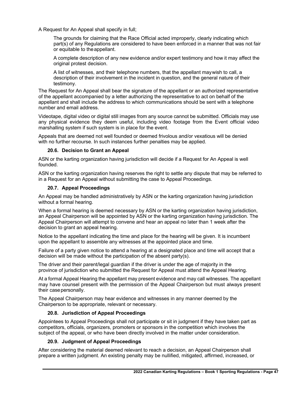A Request for An Appeal shall specify in full;

The grounds for claiming that the Race Official acted improperly, clearly indicating which part(s) of any Regulations are considered to have been enforced in a manner that was not fair or equitable to theappellant.

A complete description of any new evidence and/or expert testimony and how it may affect the original protest decision.

A list of witnesses, and their telephone numbers, that the appellant maywish to call, a description of their involvement in the incident in question, and the general nature of their testimony.

The Request for An Appeal shall bear the signature of the appellant or an authorized representative of the appellant accompanied by a letter authorizing the representative to act on behalf of the appellant and shall include the address to which communications should be sent with a telephone number and email address.

Videotape, digital video or digital still images from any source cannot be submitted. Officials may use any physical evidence they deem useful, including video footage from the Event official video marshalling system if such system is in place for the event.

Appeals that are deemed not well founded or deemed frivolous and/or vexatious will be denied with no further recourse. In such instances further penalties may be applied.

#### **20.6. Decision to Grant an Appeal**

ASN or the karting organization having jurisdiction will decide if a Request for An Appeal is well founded.

ASN or the karting organization having reserves the right to settle any dispute that may be referred to in a Request for an Appeal without submitting the case to Appeal Proceedings.

#### **20.7. Appeal Proceedings**

An Appeal may be handled administratively by ASN or the karting organization having jurisdiction without a formal hearing.

When a formal hearing is deemed necessary by ASN or the karting organization having jurisdiction, an Appeal Chairperson will be appointed by ASN or the karting organization having jurisdiction. The Appeal Chairperson will attempt to convene and hear an appeal no later than 1 week after the decision to grant an appeal hearing.

Notice to the appellant indicating the time and place for the hearing will be given. It is incumbent upon the appellant to assemble any witnesses at the appointed place and time.

Failure of a party given notice to attend a hearing at a designated place and time will accept that a decision will be made without the participation of the absent party(s).

The driver and their parent/legal guardian if the driver is under the age of majority in the province of jurisdiction who submitted the Request for Appeal must attend the Appeal Hearing.

At a formal Appeal Hearing the appellant may present evidence and may call witnesses. The appellant may have counsel present with the permission of the Appeal Chairperson but must always present their casepersonally.

The Appeal Chairperson may hear evidence and witnesses in any manner deemed by the Chairperson to be appropriate, relevant or necessary.

#### **20.8. Jurisdiction of Appeal Proceedings**

Appointees to Appeal Proceedings shall not participate or sit in judgment if they have taken part as competitors, officials, organizers, promoters or sponsors in the competition which involves the subject of the appeal, or who have been directly involved in the matter under consideration.

# **20.9. Judgment of Appeal Proceedings**

After considering the material deemed relevant to reach a decision, an Appeal Chairperson shall prepare a written judgment. An existing penalty may be nullified, mitigated, affirmed, increased, or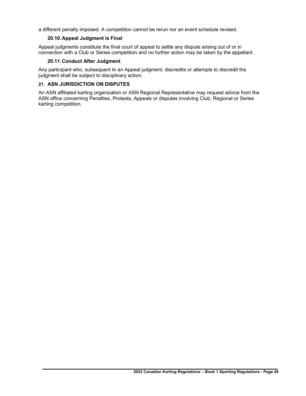a different penalty imposed. A competition cannot be rerun nor an event schedule revised.

# **20.10.Appeal Judgment is Final**

Appeal judgments constitute the final court of appeal to settle any dispute arising out of or in connection with a Club or Series competition and no further action may be taken by the appellant.

# **20.11.Conduct After Judgment**

Any participant who, subsequent to an Appeal judgment, discredits or attempts to discredit the judgment shall be subject to disciplinary action.

# **21. ASN JURISDICTION ON DISPUTES**

An ASN affiliated karting organization or ASN Regional Representative may request advice from the ASN office concerning Penalties, Protests, Appeals or disputes involving Club, Regional or Series karting competition.